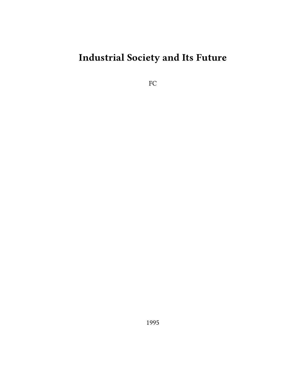# **Industrial Society and Its Future**

FC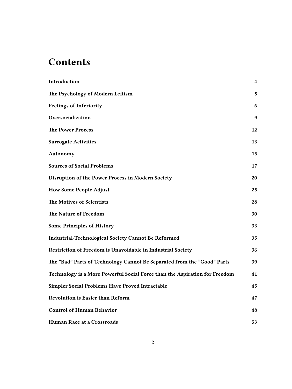# **Contents**

| Introduction                                                               | 4  |
|----------------------------------------------------------------------------|----|
| The Psychology of Modern Leftism                                           | 5  |
| <b>Feelings of Inferiority</b>                                             | 6  |
| Oversocialization                                                          | 9  |
| <b>The Power Process</b>                                                   | 12 |
| <b>Surrogate Activities</b>                                                | 13 |
| Autonomy                                                                   | 15 |
| <b>Sources of Social Problems</b>                                          | 17 |
| Disruption of the Power Process in Modern Society                          | 20 |
| <b>How Some People Adjust</b>                                              | 25 |
| The Motives of Scientists                                                  | 28 |
| The Nature of Freedom                                                      | 30 |
| <b>Some Principles of History</b>                                          | 33 |
| <b>Industrial-Technological Society Cannot Be Reformed</b>                 | 35 |
| Restriction of Freedom is Unavoidable in Industrial Society                | 36 |
| The "Bad" Parts of Technology Cannot Be Separated from the "Good" Parts    | 39 |
| Technology is a More Powerful Social Force than the Aspiration for Freedom | 41 |
| Simpler Social Problems Have Proved Intractable                            | 45 |
| <b>Revolution is Easier than Reform</b>                                    | 47 |
| <b>Control of Human Behavior</b>                                           | 48 |
| <b>Human Race at a Crossroads</b>                                          | 53 |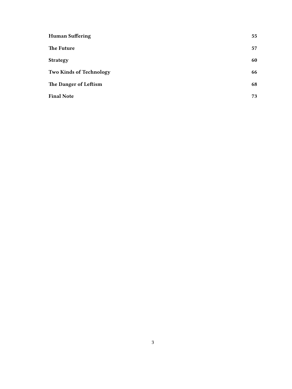| <b>Human Suffering</b>         | 55 |
|--------------------------------|----|
| The Future                     | 57 |
| <b>Strategy</b>                | 60 |
| <b>Two Kinds of Technology</b> | 66 |
| The Danger of Leftism          | 68 |
| <b>Final Note</b>              | 73 |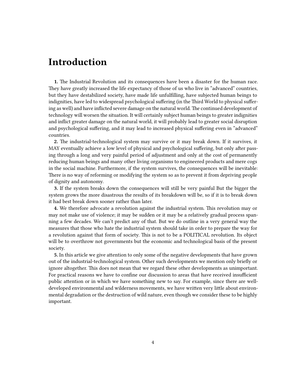### <span id="page-3-0"></span>**Introduction**

**1.** The Industrial Revolution and its consequences have been a disaster for the human race. They have greatly increased the life expectancy of those of us who live in "advanced" countries, but they have destabilized society, have made life unfulfilling, have subjected human beings to indignities, have led to widespread psychological suffering (in the Third World to physical suffering as well) and have inflicted severe damage on the natural world. The continued development of technology will worsen the situation. It will certainly subject human beings to greater indignities and inflict greater damage on the natural world, it will probably lead to greater social disruption and psychological suffering, and it may lead to increased physical suffering even in "advanced" countries.

**2.** The industrial-technological system may survive or it may break down. If it survives, it MAY eventually achieve a low level of physical and psychological suffering, but only after passing through a long and very painful period of adjustment and only at the cost of permanently reducing human beings and many other living organisms to engineered products and mere cogs in the social machine. Furthermore, if the system survives, the consequences will be inevitable: There is no way of reforming or modifying the system so as to prevent it from depriving people of dignity and autonomy.

**3.** If the system breaks down the consequences will still be very painful But the bigger the system grows the more disastrous the results of its breakdown will be, so if it is to break down it had best break down sooner rather than later.

**4.** We therefore advocate a revolution against the industrial system. This revolution may or may not make use of violence; it may be sudden or it may be a relatively gradual process spanning a few decades. We can't predict any of that. But we do outline in a very general way the measures that those who hate the industrial system should take in order to prepare the way for a revolution against that form of society. This is not to be a POLITICAL revolution. Its object will be to overthrow not governments but the economic and technological basis of the present society.

**5.** In this article we give attention to only some of the negative developments that have grown out of the industrial-technological system. Other such developments we mention only briefly or ignore altogether. This does not mean that we regard these other developments as unimportant. For practical reasons we have to confine our discussion to areas that have received insufficient public attention or in which we have something new to say. For example, since there are welldeveloped environmental and wilderness movements, we have written very little about environmental degradation or the destruction of wild nature, even though we consider these to be highly important.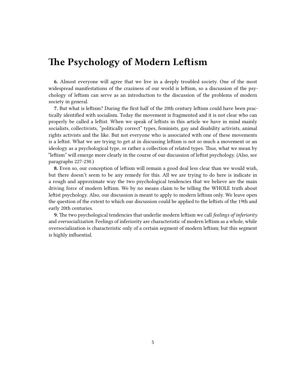### <span id="page-4-0"></span>**The Psychology of Modern Leftism**

**6.** Almost everyone will agree that we live in a deeply troubled society. One of the most widespread manifestations of the craziness of our world is leftism, so a discussion of the psychology of leftism can serve as an introduction to the discussion of the problems of modern society in general.

**7.** But what is leftism? During the first half of the 20th century leftism could have been practically identified with socialism. Today the movement is fragmented and it is not clear who can properly be called a leftist. When we speak of leftists in this article we have in mind mainly socialists, collectivists, "politically correct" types, feminists, gay and disability activists, animal rights activists and the like. But not everyone who is associated with one of these movements is a leftist. What we are trying to get at in discussing leftism is not so much a movement or an ideology as a psychological type, or rather a collection of related types. Thus, what we mean by "leftism" will emerge more clearly in the course of our discussion of leftist psychology. (Also, see paragraphs 227-230.)

**8.** Even so, our conception of leftism will remain a good deal less clear than we would wish, but there doesn't seem to be any remedy for this. All we are trying to do here is indicate in a rough and approximate way the two psychological tendencies that we believe are the main driving force of modern leftism. We by no means claim to be telling the WHOLE truth about leftist psychology. Also, our discussion is meant to apply to modern leftism only. We leave open the question of the extent to which our discussion could be applied to the leftists of the 19th and early 20th centuries.

**9.** The two psychological tendencies that underlie modern leftism we call *feelings of inferiority* and *oversocialization*. Feelings of inferiority are characteristic of modern leftism as a whole, while oversocialization is characteristic only of a certain segment of modern leftism; but this segment is highly influential.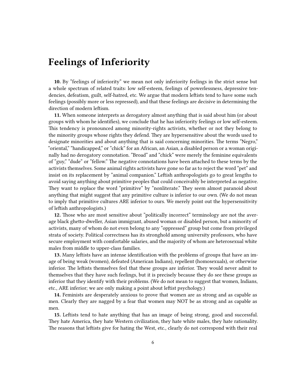### <span id="page-5-0"></span>**Feelings of Inferiority**

**10.** By "feelings of inferiority" we mean not only inferiority feelings in the strict sense but a whole spectrum of related traits: low self-esteem, feelings of powerlessness, depressive tendencies, defeatism, guilt, self-hatred, etc. We argue that modern leftists tend to have some such feelings (possibly more or less repressed), and that these feelings are decisive in determining the direction of modern leftism.

**11.** When someone interprets as derogatory almost anything that is said about him (or about groups with whom he identifies), we conclude that he has inferiority feelings or low self-esteem. This tendency is pronounced among minority-rights activists, whether or not they belong to the minority groups whose rights they defend. They are hypersensitive about the words used to designate minorities and about anything that is said concerning minorities. The terms "Negro," "oriental," "handicapped," or "chick" for an African, an Asian, a disabled person or a woman originally had no derogatory connotation. "Broad" and "chick" were merely the feminine equivalents of "guy," "dude" or "fellow." The negative connotations have been attached to these terms by the activists themselves. Some animal rights activists have gone so far as to reject the word "pet" and insist on its replacement by "animal companion." Leftish anthropologists go to great lengths to avoid saying anything about primitive peoples that could conceivably be interpreted as negative. They want to replace the word "primitive" by "nonliterate." They seem almost paranoid about anything that might suggest that any primitive culture is inferior to our own. (We do not mean to imply that primitive cultures ARE inferior to ours. We merely point out the hypersensitivity of leftish anthropologists.)

**12.** Those who are most sensitive about "politically incorrect" terminology are not the average black ghetto-dweller, Asian immigrant, abused woman or disabled person, but a minority of activists, many of whom do not even belong to any "oppressed" group but come from privileged strata of society. Political correctness has its stronghold among university professors, who have secure employment with comfortable salaries, and the majority of whom are heterosexual white males from middle to upper-class families.

**13.** Many leftists have an intense identification with the problems of groups that have an image of being weak (women), defeated (American Indians), repellent (homosexuals), or otherwise inferior. The leftists themselves feel that these groups are inferior. They would never admit to themselves that they have such feelings, but it is precisely because they do see these groups as inferior that they identify with their problems. (We do not mean to suggest that women, Indians, etc., ARE inferior; we are only making a point about leftist psychology.)

**14.** Feminists are desperately anxious to prove that women are as strong and as capable as men. Clearly they are nagged by a fear that women may NOT be as strong and as capable as men.

**15.** Leftists tend to hate anything that has an image of being strong, good and successful. They hate America, they hate Western civilization, they hate white males, they hate rationality. The reasons that leftists give for hating the West, etc., clearly do not correspond with their real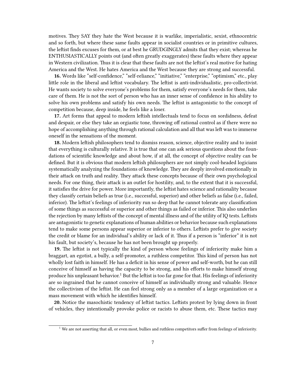motives. They SAY they hate the West because it is warlike, imperialistic, sexist, ethnocentric and so forth, but where these same faults appear in socialist countries or in primitive cultures, the leftist finds excuses for them, or at best he GRUDGINGLY admits that they exist; whereas he ENTHUSIASTICALLY points out (and often greatly exaggerates) these faults where they appear in Western civilization. Thus it is clear that these faults are not the leftist's real motive for hating America and the West. He hates America and the West because they are strong and successful.

**16.** Words like "self-confidence," "self-reliance," "initiative," "enterprise," "optimism," etc., play little role in the liberal and leftist vocabulary. The leftist is anti-individualistic, pro-collectivist. He wants society to solve everyone's problems for them, satisfy everyone's needs for them, take care of them. He is not the sort of person who has an inner sense of confidence in his ability to solve his own problems and satisfy his own needs. The leftist is antagonistic to the concept of competition because, deep inside, he feels like a loser.

**17.** Art forms that appeal to modern leftish intellectuals tend to focus on sordidness, defeat and despair, or else they take an orgiastic tone, throwing off rational control as if there were no hope of accomplishing anything through rational calculation and all that was left was to immerse oneself in the sensations of the moment.

**18.** Modern leftish philosophers tend to dismiss reason, science, objective reality and to insist that everything is culturally relative. It is true that one can ask serious questions about the foundations of scientific knowledge and about how, if at all, the concept of objective reality can be defined. But it is obvious that modern leftish philosophers are not simply cool-headed logicians systematically analyzing the foundations of knowledge. They are deeply involved emotionally in their attack on truth and reality. They attack these concepts because of their own psychological needs. For one thing, their attack is an outlet for hostility, and, to the extent that it is successful, it satisfies the drive for power. More importantly, the leftist hates science and rationality because they classify certain beliefs as true (i.e., successful, superior) and other beliefs as false (i.e., failed, inferior). The leftist's feelings of inferiority run so deep that he cannot tolerate any classification of some things as successful or superior and other things as failed or inferior. This also underlies the rejection by many leftists of the concept of mental illness and of the utility of IQ tests. Leftists are antagonistic to genetic explanations of human abilities or behavior because such explanations tend to make some persons appear superior or inferior to others. Leftists prefer to give society the credit or blame for an individual's ability or lack of it. Thus if a person is "inferior" it is not his fault, but society's, because he has not been brought up properly.

**19.** The leftist is not typically the kind of person whose feelings of inferiority make him a braggart, an egotist, a bully, a self-promoter, a ruthless competitor. This kind of person has not wholly lost faith in himself. He has a deficit in his sense of power and self-worth, but he can still conceive of himself as having the capacity to be strong, and his efforts to make himself strong produce his unpleasant behavior.<sup>1</sup> But the leftist is too far gone for that. His feelings of inferiority are so ingrained that he cannot conceive of himself as individually strong and valuable. Hence the collectivism of the leftist. He can feel strong only as a member of a large organization or a mass movement with which he identifies himself.

**20.** Notice the masochistic tendency of leftist tactics. Leftists protest by lying down in front of vehicles, they intentionally provoke police or racists to abuse them, etc. These tactics may

 $1$  We are not asserting that all, or even most, bullies and ruthless competitors suffer from feelings of inferiority.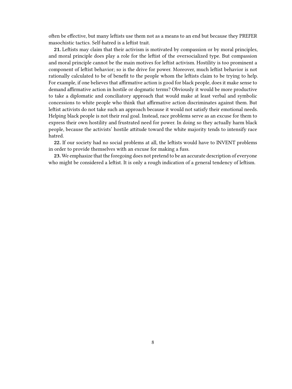often be effective, but many leftists use them not as a means to an end but because they PREFER masochistic tactics. Self-hatred is a leftist trait.

**21.** Leftists may claim that their activism is motivated by compassion or by moral principles, and moral principle does play a role for the leftist of the oversocialized type. But compassion and moral principle cannot be the main motives for leftist activism. Hostility is too prominent a component of leftist behavior; so is the drive for power. Moreover, much leftist behavior is not rationally calculated to be of benefit to the people whom the leftists claim to be trying to help. For example, if one believes that affirmative action is good for black people, does it make sense to demand affirmative action in hostile or dogmatic terms? Obviously it would be more productive to take a diplomatic and conciliatory approach that would make at least verbal and symbolic concessions to white people who think that affirmative action discriminates against them. But leftist activists do not take such an approach because it would not satisfy their emotional needs. Helping black people is not their real goal. Instead, race problems serve as an excuse for them to express their own hostility and frustrated need for power. In doing so they actually harm black people, because the activists' hostile attitude toward the white majority tends to intensify race hatred.

**22.** If our society had no social problems at all, the leftists would have to INVENT problems in order to provide themselves with an excuse for making a fuss.

**23.** We emphasize that the foregoing does not pretend to be an accurate description of everyone who might be considered a leftist. It is only a rough indication of a general tendency of leftism.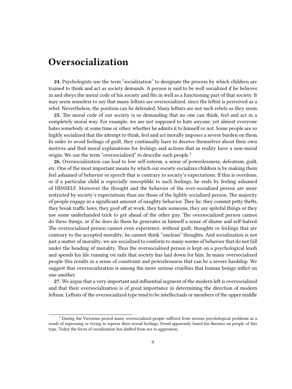### <span id="page-8-0"></span>**Oversocialization**

**24.** Psychologists use the term "socialization" to designate the process by which children are trained to think and act as society demands. A person is said to be well socialized if he believes in and obeys the moral code of his society and fits in well as a functioning part of that society. It may seem senseless to say that many leftists are oversocialized, since the leftist is perceived as a rebel. Nevertheless, the position can be defended. Many leftists are not such rebels as they seem.

**25.** The moral code of our society is so demanding that no one can think, feel and act in a completely moral way. For example, we are not supposed to hate anyone, yet almost everyone hates somebody at some time or other, whether he admits it to himself or not. Some people are so highly socialized that the attempt to think, feel and act morally imposes a severe burden on them. In order to avoid feelings of guilt, they continually have to deceive themselves about their own motives and find moral explanations for feelings and actions that in reality have a non-moral origin. We use the term "oversocialized" to describe such people.<sup>1</sup>

**26.** Oversocialization can lead to low self-esteem, a sense of powerlessness, defeatism, guilt, etc. One of the most important means by which our society socializes children is by making them feel ashamed of behavior or speech that is contrary to society's expectations. If this is overdone, or if a particular child is especially susceptible to such feelings, he ends by feeling ashamed of HIMSELF. Moreover the thought and the behavior of the over-socialized person are more restricted by society's expectations than are those of the lightly socialized person. The majority of people engage in a significant amount of naughty behavior. They lie, they commit petty thefts, they break traffic laws, they goof off at work, they hate someone, they say spiteful things or they use some underhanded trick to get ahead of the other guy. The oversocialized person cannot do these things, or if he does do them he generates in himself a sense of shame and self-hatred. The oversocialized person cannot even experience, without guilt, thoughts or feelings that are contrary to the accepted morality; he cannot think "unclean" thoughts. And socialization is not just a matter of morality; we are socialized to conform to many norms of behavior that do not fall under the heading of morality. Thus the oversocialized person is kept on a psychological leash and spends his life running on rails that society has laid down for him. In many oversocialized people this results in a sense of constraint and powerlessness that can be a severe hardship. We suggest that oversocialization is among the more serious cruelties that human beings inflict on one another.

**27.** We argue that a very important and influential segment of the modern left is oversocialized and that their oversocialization is of great importance in determining the direction of modern leftism. Leftists of the oversocialized type tend to be intellectuals or members of the upper middle

 $1$  During the Victorian period many oversocialized people suffered from serious psychological problems as a result of repressing or trying to repress their sexual feelings. Freud apparently based his theories on people of this type. Today the focus of socialization has shifted from sex to aggression.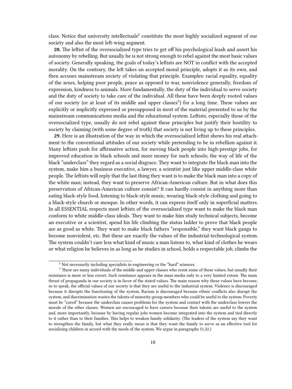class. Notice that university intellectuals<sup>2</sup> constitute the most highly socialized segment of our society and also the most left-wing segment.

**28.** The leftist of the oversocialized type tries to get off his psychological leash and assert his autonomy by rebelling. But usually he is not strong enough to rebel against the most basic values of society. Generally speaking, the goals of today's leftists are NOT in conflict with the accepted morality. On the contrary, the left takes an accepted moral principle, adopts it as its own, and then accuses mainstream society of violating that principle. Examples: racial equality, equality of the sexes, helping poor people, peace as opposed to war, nonviolence generally, freedom of expression, kindness to animals. More fundamentally, the duty of the individual to serve society and the duty of society to take care of the individual. All these have been deeply rooted values of our society (or at least of its middle and upper classes<sup>3</sup>) for a long time. These values are explicitly or implicitly expressed or presupposed in most of the material presented to us by the mainstream communications media and the educational system. Leftists, especially those of the oversocialized type, usually do not rebel against these principles but justify their hostility to society by claiming (with some degree of truth) that society is not living up to these principles.

**29.** Here is an illustration of the way in which the oversocialized leftist shows his real attachment to the conventional attitudes of our society while pretending to be in rebellion against it. Many leftists push for affirmative action, for moving black people into high-prestige jobs, for improved education in black schools and more money for such schools; the way of life of the black "underclass" they regard as a social disgrace. They want to integrate the black man into the system, make him a business executive, a lawyer, a scientist just like upper middle-class white people. The leftists will reply that the last thing they want is to make the black man into a copy of the white man; instead, they want to preserve African-American culture. But in what does this preservation of African-American culture consist? It can hardly consist in anything more than eating black-style food, listening to black-style music, wearing black-style clothing and going to a black-style church or mosque. In other words, it can express itself only in superficial matters. In all ESSENTIAL respects most leftists of the oversocialized type want to make the black man conform to white middle-class ideals. They want to make him study technical subjects, become an executive or a scientist, spend his life climbing the status ladder to prove that black people are as good as white. They want to make black fathers "responsible," they want black gangs to become nonviolent, etc. But these are exactly the values of the industrial-technological system. The system couldn't care less what kind of music a man listens to, what kind of clothes he wears or what religion he believes in as long as he studies in school, holds a respectable job, climbs the

 $^{\rm 2}$  Not necessarily including specialists in engineering or the "hard" sciences.

<sup>&</sup>lt;sup>3</sup> There are many individuals of the middle and upper classes who resist some of these values, but usually their resistance is more or less covert. Such resistance appears in the mass media only to a very limited extent. The main thrust of propaganda in our society is in favor of the stated values. The main reason why these values have become, so to speak, the official values of our society is that they are useful to the industrial system. Violence is discouraged because it disrupts the functioning of the system. Racism is discouraged because ethnic conflicts also disrupt the system, and discrimination wastes the talents of minority-group members who could be useful to the system. Poverty must be "cured" because the underclass causes problems for the system and contact with the underclass lowers the morale of the other classes. Women are encouraged to have careers because their talents are useful to the system and, more importantly, because by having regular jobs women become integrated into the system and tied directly to it rather than to their families. This helps to weaken family solidarity. (The leaders of the system say they want to strengthen the family, but what they really mean is that they want the family to serve as an effective tool for socializing children in accord with the needs of the system. We argue in paragraphs 51,52.)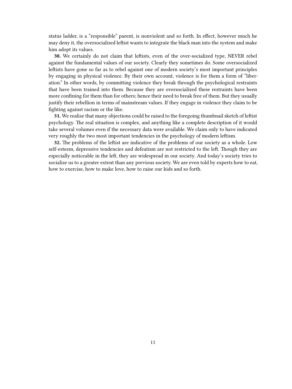status ladder, is a "responsible" parent, is nonviolent and so forth. In effect, however much he may deny it, the oversocialized leftist wants to integrate the black man into the system and make him adopt its values.

**30.** We certainly do not claim that leftists, even of the over-socialized type, NEVER rebel against the fundamental values of our society. Clearly they sometimes do. Some oversocialized leftists have gone so far as to rebel against one of modern society's most important principles by engaging in physical violence. By their own account, violence is for them a form of "liberation." In other words, by committing violence they break through the psychological restraints that have been trained into them. Because they are oversocialized these restraints have been more confining for them than for others; hence their need to break free of them. But they usually justify their rebellion in terms of mainstream values. If they engage in violence they claim to be fighting against racism or the like.

**31.** We realize that many objections could be raised to the foregoing thumbnail sketch of leftist psychology. The real situation is complex, and anything like a complete description of it would take several volumes even if the necessary data were available. We claim only to have indicated very roughly the two most important tendencies in the psychology of modern leftism.

**32.** The problems of the leftist are indicative of the problems of our society as a whole. Low self-esteem, depressive tendencies and defeatism are not restricted to the left. Though they are especially noticeable in the left, they are widespread in our society. And today's society tries to socialize us to a greater extent than any previous society. We are even told by experts how to eat, how to exercise, how to make love, how to raise our kids and so forth.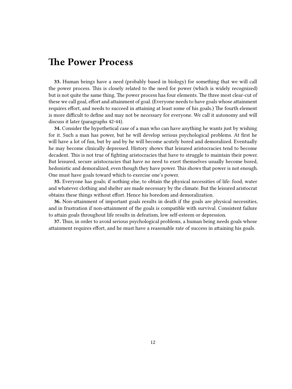#### <span id="page-11-0"></span>**The Power Process**

**33.** Human beings have a need (probably based in biology) for something that we will call the power process. This is closely related to the need for power (which is widely recognized) but is not quite the same thing. The power process has four elements. The three most clear-cut of these we call goal, effort and attainment of goal. (Everyone needs to have goals whose attainment requires effort, and needs to succeed in attaining at least some of his goals.) The fourth element is more difficult to define and may not be necessary for everyone. We call it autonomy and will discuss it later (paragraphs 42-44).

**34.** Consider the hypothetical case of a man who can have anything he wants just by wishing for it. Such a man has power, but he will develop serious psychological problems. At first he will have a lot of fun, but by and by he will become acutely bored and demoralized. Eventually he may become clinically depressed. History shows that leisured aristocracies tend to become decadent. This is not true of fighting aristocracies that have to struggle to maintain their power. But leisured, secure aristocracies that have no need to exert themselves usually become bored, hedonistic and demoralized, even though they have power. This shows that power is not enough. One must have goals toward which to exercise one's power.

**35.** Everyone has goals; if nothing else, to obtain the physical necessities of life: food, water and whatever clothing and shelter are made necessary by the climate. But the leisured aristocrat obtains these things without effort. Hence his boredom and demoralization.

**36.** Non-attainment of important goals results in death if the goals are physical necessities, and in frustration if non-attainment of the goals is compatible with survival. Consistent failure to attain goals throughout life results in defeatism, low self-esteem or depression.

**37.** Thus, in order to avoid serious psychological problems, a human being needs goals whose attainment requires effort, and he must have a reasonable rate of success in attaining his goals.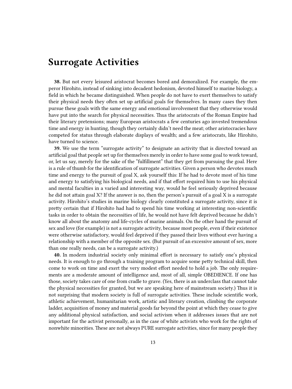#### <span id="page-12-0"></span>**Surrogate Activities**

**38.** But not every leisured aristocrat becomes bored and demoralized. For example, the emperor Hirohito, instead of sinking into decadent hedonism, devoted himself to marine biology, a field in which he became distinguished. When people do not have to exert themselves to satisfy their physical needs they often set up artificial goals for themselves. In many cases they then pursue these goals with the same energy and emotional involvement that they otherwise would have put into the search for physical necessities. Thus the aristocrats of the Roman Empire had their literary pretensions; many European aristocrats a few centuries ago invested tremendous time and energy in hunting, though they certainly didn't need the meat; other aristocracies have competed for status through elaborate displays of wealth; and a few aristocrats, like Hirohito, have turned to science.

**39.** We use the term "surrogate activity" to designate an activity that is directed toward an artificial goal that people set up for themselves merely in order to have some goal to work toward, or, let us say, merely for the sake of the "fulfillment" that they get from pursuing the goal. Here is a rule of thumb for the identification of surrogate activities. Given a person who devotes much time and energy to the pursuit of goal X, ask yourself this: If he had to devote most of his time and energy to satisfying his biological needs, and if that effort required him to use his physical and mental faculties in a varied and interesting way, would he feel seriously deprived because he did not attain goal X? If the answer is no, then the person's pursuit of a goal X is a surrogate activity. Hirohito's studies in marine biology clearly constituted a surrogate activity, since it is pretty certain that if Hirohito had had to spend his time working at interesting non-scientific tasks in order to obtain the necessities of life, he would not have felt deprived because he didn't know all about the anatomy and life-cycles of marine animals. On the other hand the pursuit of sex and love (for example) is not a surrogate activity, because most people, even if their existence were otherwise satisfactory, would feel deprived if they passed their lives without ever having a relationship with a member of the opposite sex. (But pursuit of an excessive amount of sex, more than one really needs, can be a surrogate activity.)

**40.** In modern industrial society only minimal effort is necessary to satisfy one's physical needs. It is enough to go through a training program to acquire some petty technical skill, then come to work on time and exert the very modest effort needed to hold a job. The only requirements are a moderate amount of intelligence and, most of all, simple OBEDIENCE. If one has those, society takes care of one from cradle to grave. (Yes, there is an underclass that cannot take the physical necessities for granted, but we are speaking here of mainstream society.) Thus it is not surprising that modern society is full of surrogate activities. These include scientific work, athletic achievement, humanitarian work, artistic and literary creation, climbing the corporate ladder, acquisition of money and material goods far beyond the point at which they cease to give any additional physical satisfaction, and social activism when it addresses issues that are not important for the activist personally, as in the case of white activists who work for the rights of nonwhite minorities. These are not always PURE surrogate activities, since for many people they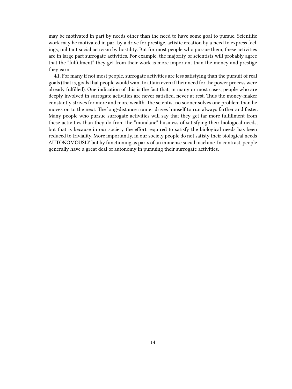may be motivated in part by needs other than the need to have some goal to pursue. Scientific work may be motivated in part by a drive for prestige, artistic creation by a need to express feelings, militant social activism by hostility. But for most people who pursue them, these activities are in large part surrogate activities. For example, the majority of scientists will probably agree that the "fulfillment" they get from their work is more important than the money and prestige they earn.

**41.** For many if not most people, surrogate activities are less satistying than the pursuit of real goals (that is, goals that people would want to attain even if their need for the power process were already fulfilled). One indication of this is the fact that, in many or most cases, people who are deeply involved in surrogate activities are never satisfied, never at rest. Thus the money-maker constantly strives for more and more wealth. The scientist no sooner solves one problem than he moves on to the next. The long-distance runner drives himself to run always farther and faster. Many people who pursue surrogate activities will say that they get far more fulfillment from these activities than they do from the "mundane" business of satisfying their biological needs, but that is because in our society the effort required to satisfy the biological needs has been reduced to triviality. More importantly, in our society people do not satisty their biological needs AUTONOMOUSLY but by functioning as parts of an immense social machine. In contrast, people generally have a great deal of autonomy in pursuing their surrogate activities.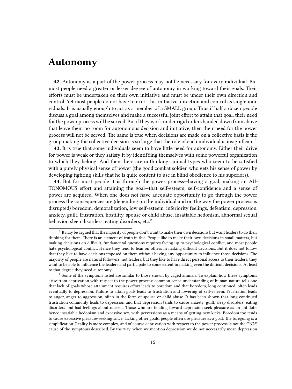#### <span id="page-14-0"></span>**Autonomy**

**42.** Autonomy as a part of the power process may not be necessary for every individual. But most people need a greater or lesser degree of autonomy in working toward their goals. Their efforts must be undertaken on their own initiative and must be under their own direction and control. Yet most people do not have to exert this initiative, direction and control as single individuals. It is usually enough to act as a member of a SMALL group. Thus if half a dozen people discuss a goal among themselves and make a successful joint effort to attain that goal, their need for the power process will be served. But if they work under rigid orders handed down from above that leave them no room for autonomous decision and initiative, then their need for the power process will not be served. The same is true when decisions are made on a collective basis if the group making the collective decision is so large that the role of each individual is insignificant.<sup>1</sup>

**43.** It is true that some individuals seem to have little need for autonomy. Either their drive for power is weak or they satisfy it by identifYing themselves with some powerful organization to which they belong. And then there are unthinking, animal types who seem to be satisfied with a purely physical sense of power (the good combat soldier, who gets his sense of power by developing fighting skills that he is quite content to use in blind obedience to his superiors).

**44.** But for most people it is through the power process—having a goal, making an AU-TONOMOUS effort and attaining the goal—that self-esteem, self-confidence and a sense of power are acquired. When one does not have adequate opportunity to go through the power process the consequences are (depending on the individual and on the way the power process is disrupted) boredom, demoralization, low self-esteem, inferiority feelings, defeatism, depression, anxiety, guilt, frustration, hostility, spouse or child abuse, insatiable hedonism, abnormal sexual behavior, sleep disorders, eating disorders, etc.<sup>2</sup>

<sup>&</sup>lt;sup>1</sup> It may be argued that the majority of people don't want to make their own decisions but want leaders to do their thinking for them. There is an element of truth in this. People like to make their own decisions in small matters, but making decisions on difficult, fundamental questions requires facing up to psychological conflict, and most people hate psychological conflict. Hence they tend to lean on others in making difficult decisions. But it does not follow that they like to have decisions imposed on them without having any opportunity to influence those decisions. The majority of people are natural followers, not leaders, but they like to have direct personal access to their leaders, they want to be able to influence the leaders and participate to some extent in making even the difficult decisions. At least to that degree they need autonomy.

<sup>&</sup>lt;sup>2</sup> Some of the symptoms listed are similar to those shown by caged animals. To explain how these symptoms arise from deprivation with respect to the power process: common-sense understanding of human nature tells one that lack of goals whose attainment requires effort leads to boredom and that boredom, long continued, often leads eventually to depression. Failure to attain goals leads to frustration and lowering of self-esteem. Frustration leads to anger, anger to aggression, often in the form of spouse or child abuse. It has been shown that long-continued frustration commonly leads to depression and that depression tends to cause anxiety, guilt, sleep disorders, eating disorders and bad feelings about oneself. Those who are tending toward depression seek pleasure as an antidote; hence insatiable hedonism and excessive sex, with perversions as a means of getting new kicks. Boredom too tends to cause excessive pleasure-seeking since, lacking other goals, people often use pleasure as a goal. The foregoing is a simplification. Reality is more complex, and of course deprivation with respect to the power process is not the ONLY cause of the symptoms described. By the way, when we mention depression we do not necessarily mean depression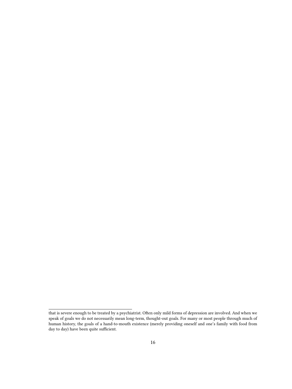that is severe enough to be treated by a psychiatrist. Often only mild forms of depression are involved. And when we speak of goals we do not necessarily mean long-term, thought-out goals. For many or most people through much of human history, the goals of a hand-to-mouth existence (merely providing oneself and one's family with food from day to day) have been quite sufficient.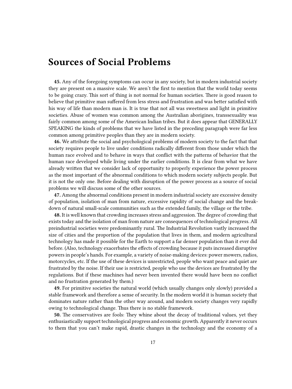## <span id="page-16-0"></span>**Sources of Social Problems**

**45.** Any of the foregoing symptoms can occur in any society, but in modern industrial society they are present on a massive scale. We aren't the first to mention that the world today seems to be going crazy. This sort of thing is not normal for human societies. There is good reason to believe that primitive man suffered from less stress and frustration and was better satisfied with his way of life than modern man is. It is true that not all was sweetness and light in primitive societies. Abuse of women was common among the Australian aborigines, transsexuality was fairly common among some of the American Indian tribes. But it does appear that GENERALLY SPEAKING the kinds of problems that we have listed in the preceding paragraph were far less common among primitive peoples than they are in modern society.

**46.** We attribute the social and psychological problems of modern society to the fact that that society requires people to live under conditions radically different from those under which the human race evolved and to behave in ways that conflict with the patterns of behavior that the human race developed while living under the earlier conditions. It is clear from what we have already written that we consider lack of opportunity to properly experience the power process as the most important of the abnormal conditions to which modern society subjects people. But it is not the only one. Before dealing with disruption of the power process as a source of social problems we will discuss some of the other sources.

**47.** Among the abnormal conditions present in modern industrial society are excessive density of population, isolation of man from nature, excessive rapidity of social change and the breakdown of natural small-scale communities such as the extended family, the village or the tribe.

**48.** It is well known that crowding increases stress and aggression. The degree of crowding that exists today and the isolation of man from nature are consequences of technological progress. All preindustrial societies were predominantly rural. The Industrial Revolution vastly increased the size of cities and the proportion of the population that lives in them, and modern agricultural technology has made it possible for the Earth to support a far denser population than it ever did before. (Also, technology exacerbates the effects of crowding because it puts increased disruptive powers in people's hands. For example, a variety of noise-making devices: power mowers, radios, motorcycles, etc. If the use of these devices is unrestricted, people who want peace and quiet are frustrated by the noise. If their use is restricted, people who use the devices are frustrated by the regulations. But if these machines had never been invented there would have been no conflict and no frustration generated by them.)

**49.** For primitive societies the natural world (which usually changes only slowly) provided a stable framework and therefore a sense of security. In the modern world it is human society that dominates nature rather than the other way around, and modern society changes very rapidly owing to technological change. Thus there is no stable framework.

**50.** The conservatives are fools: They whine about the decay of traditional values, yet they enthusiastically support technological progress and economic growth. Apparently it never occurs to them that you can't make rapid, drastic changes in the technology and the economy of a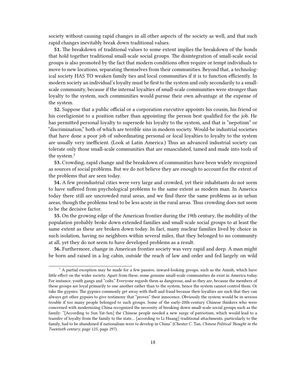society without causing rapid changes in all other aspects of the society as well, and that such rapid changes inevitably break down traditional values.

**51.** The breakdown of traditional values to some extent implies the breakdown of the bonds that hold together traditional small-scale social groups. The disintegration of small-scale social groups is also promoted by the fact that modern conditions often require or tempt individuals to move to new locations, separating themselves from their communities. Beyond that, a technological society HAS TO weaken family ties and local communities if it is to function efficiently. In modern society an individual's loyalty must be first to the system and only secondarily to a smallscale community, because if the internal loyalties of small-scale communities were stronger than loyalty to the system, such communities would pursue their own advantage at the expense of the system.

**52.** Suppose that a public official or a corporation executive appoints his cousin, his friend or his coreligionist to a position rather than appointing the person best qualified for the job. He has permitted personal loyalty to supersede his loyalty to the system, and that is "nepotism" or "discrimination," both of which are terrible sins in modern society. Would-be industrial societies that have done a poor job of subordinating personal or local loyalties to loyalty to the system are usually very inefficient. (Look at Latin America.) Thus an advanced industrial society can tolerate only those small-scale communities that are emasculated, tamed and made into tools of the system.<sup>1</sup>

**53.** Crowding, rapid change and the breakdown of communities have been widely recognized as sources of social problems. But we do not believe they are enough to account for the extent of the problems that are seen today.

**54.** A few preindustrial cities were very large and crowded, yet their inhabitants do not seem to have suffered from psychological problems to the same extent as modern man. In America today there still are uncrowded rural areas, and we find there the same problems as in urban areas, though the problems tend to be less acute in the rural areas. Thus crowding does not seem to be the decisive factor.

**55.** On the growing edge of the American frontier during the 19th century, the mobility of the population probably broke down extended families and small-scale social groups to at least the same extent as these are broken down today. In fact, many nuclear families lived by choice in such isolation, having no neighbors within several miles, that they belonged to no community at all, yet they do not seem to have developed problems as a result.

**56.** Furthermore, change in American frontier society was very rapid and deep. A man might be born and raised in a log cabin, outside the reach of law and order and fed largely on wild

 $1 A$  partial exception may be made for a few passive, inward-looking groups, such as the Amish, which have little effect on the wider society. Apart from these, some genuine small-scale communities do exist in America today. For instance, youth gangs and "cults." Everyone regards them as dangerous, and so they are, because the members of these groups are loyal primarily to one another rather than to the system, hence the system cannot control them. Or take the gypsies. The gypsies commonly get away with theft and fraud because their loyalties are such that they can always get other gypsies to give testimony that "proves" their innocence. Obviously the system would be in serious trouble if too many people belonged to such groups. Some of the early-20th-century Chinese thinkers who were concerned with modernizing China recognized the necessity of breaking down small-scale social groups such as the family: "[According to Sun Yat-Sen] the Chinese people needed a new surge of patriotism, which would lead to a transfer of loyalty from the family to the state… [according to Li Huang] traditional attachments, particularly to the family, had to be abandoned if nationalism were to develop in China" (Chester C. Tan, *Chinese Political Thought in the Twentieth century*, page 125, page 297).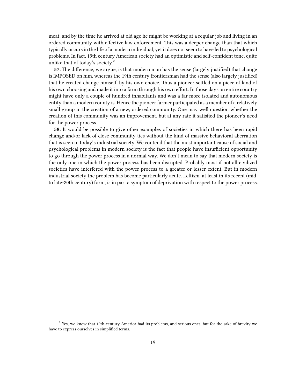meat; and by the time he arrived at old age he might be working at a regular job and living in an ordered community with effective law enforcement. This was a deeper change than that which typically occurs in the life of a modern individual, yet it does not seem to have led to psychological problems. In fact, 19th century American society had an optimistic and self-confident tone, quite unlike that of today's society.<sup>2</sup>

**57.** The difference, we argue, is that modern man has the sense (largely justified) that change is IMPOSED on him, whereas the 19th century frontiersman had the sense (also largely justified) that he created change himself, by his own choice. Thus a pioneer settled on a piece of land of his own choosing and made it into a farm through his own effort. In those days an entire country might have only a couple of hundred inhabitants and was a far more isolated and autonomous entity than a modern county is. Hence the pioneer farmer participated as a member of a relatively small group in the creation of a new, ordered community. One may well question whether the creation of this community was an improvement, but at any rate it satisfied the pioneer's need for the power process.

**58.** It would be possible to give other examples of societies in which there has been rapid change and/or lack of close community ties without the kind of massive behavioral aberration that is seen in today's industrial society. We contend that the most important cause of social and psychological problems in modern society is the fact that people have insufficient opportunity to go through the power process in a normal way. We don't mean to say that modern society is the only one in which the power process has been disrupted. Probably most if not all civilized societies have interfered with the power process to a greater or lesser extent. But in modern industrial society the problem has become particularly acute. Leftism, at least in its recent (midto late-20th century) form, is in part a symptom of deprivation with respect to the power process.

<sup>&</sup>lt;sup>2</sup> Yes, we know that 19th-century America had its problems, and serious ones, but for the sake of brevity we have to express ourselves in simplified terms.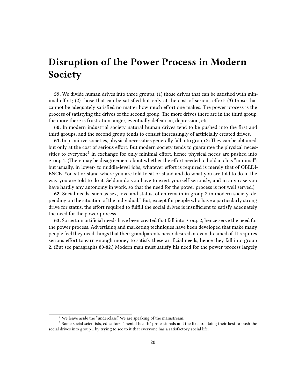# <span id="page-19-0"></span>**Disruption of the Power Process in Modern Society**

**59.** We divide human drives into three groups: (1) those drives that can be satisfied with minimal effort; (2) those that can be satisfied but only at the cost of serious effort; (3) those that cannot be adequately satisfied no matter how much effort one makes. The power process is the process of satistying the drives of the second group. The more drives there are in the third group, the more there is frustration, anger, eventually defeatism, depression, etc.

**60.** In modern industrial society natural human drives tend to be pushed into the first and third groups, and the second group tends to consist increasingly of artificially created drives.

**61.** In primitive societies, physical necessities generally fall into group 2: They can be obtained, but only at the cost of serious effort. But modern society tends to guarantee the physical necessities to everyone<sup>1</sup> in exchange for only minimal effort, hence physical needs are pushed into group 1. (There may be disagreement about whether the effort needed to hold a job is "minimal"; but usually, in lower- to middle-level jobs, whatever effort is required is merely that of OBEDI-ENCE. You sit or stand where you are told to sit or stand and do what you are told to do in the way you are told to do it. Seldom do you have to exert yourself seriously, and in any case you have hardly any autonomy in work, so that the need for the power process is not well served.)

**62.** Social needs, such as sex, love and status, often remain in group 2 in modern society, depending on the situation of the individual.<sup>2</sup> But, except for people who have a particularly strong drive for status, the effort required to fulfill the social drives is insufficient to satisfy adequately the need for the power process.

**63.** So certain artificial needs have been created that fall into group 2, hence serve the need for the power process. Advertising and marketing techniques have been developed that make many people feel they need things that their grandparents never desired or even dreamed of. It requires serious effort to earn enough money to satisfy these artificial needs, hence they fall into group 2. (But see paragraphs 80-82.) Modern man must satisfy his need for the power process largely

 $1$  We leave aside the "underclass." We are speaking of the mainstream.

<sup>&</sup>lt;sup>2</sup> Some social scientists, educators, "mental health" professionals and the like are doing their best to push the social drives into group 1 by trying to see to it that everyone has a satisfactory social life.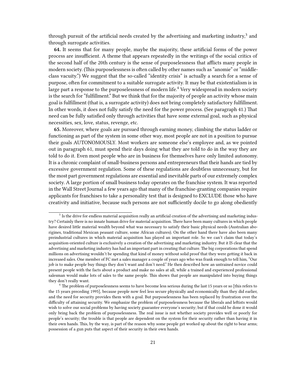through pursuit of the artificial needs created by the advertising and marketing industry, $^3$  and through surrogate activities.

**64.** It seems that for many people, maybe the majority, these artificial forms of the power process are insufficient. A theme that appears repeatedly in the writings of the social critics of the second half of the 20th century is the sense of purposelessness that afflicts many people in modern society. (This purposelessness is often called by other names such as "anomie" or "middleclass vacuity.") We suggest that the so-called "identity crisis" is actually a search for a sense of purpose, often for commitment to a suitable surrogate activity. It may be that existentialism is in large part a response to the purposelessness of modern life.<sup>4</sup> Very widespread in modern society is the search for "fulfillment." But we think that for the majority of people an activity whose main goal is fulfillment (that is, a surrogate activity) does not bring completely satisfactory fulfillment. In other words, it does not fully satisfy the need for the power process. (See paragraph 41.) That need can be fully satisfied only through activities that have some external goal, such as physical necessities, sex, love, status, revenge, etc.

**65.** Moreover, where goals are pursued through earning money, climbing the status ladder or functioning as part of the system in some other way, most people are not in a position to pursue their goals AUTONOMOUSLY. Most workers are someone else's employee and, as we pointed out in paragraph 61, must spend their days doing what they are told to do in the way they are told to do it. Even most people who are in business for themselves have only limited autonomy. It is a chronic complaint of small-business persons and entrepreneurs that their hands are tied by excessive government regulation. Some of these regulations are doubtless unnecessary, but for the most part government regulations are essential and inevitable parts of our extremely complex society. A large portion of small business today operates on the franchise system. It was reported in the Wall Street Journal a few years ago that many of the franchise-granting companies require applicants for franchises to take a personality test that is designed to EXCLUDE those who have creativity and initiative, because such persons are not sufficiently docile to go along obediently

 $3$  Is the drive for endless material acquisition really an artificial creation of the advertising and marketing industry? Certainly there is no innate human drive for material acquisition. There have been many cultures in which people have desired little material wealth beyond what was necessary to satisfy their basic physical needs (Australian aborigines, traditional Mexican peasant culture, some African cultures). On the other hand there have also been many preindustrial cultures in which material acquisition has played an important role. So we can't claim that today's acquisition-oriented culture is exclusively a creation of the advertising and marketing industry. But it IS clear that the advertising and marketing industry has had an important part in creating that culture. The big corporations that spend millions on advertising wouldn't be spending that kind of money without solid proof that they were getting it back in increased sales. One member of FC met a sales manager a couple of years ago who was frank enough to tell him, "Our job is to make people buy things they don't want and don't need." He then described how an untrained novice could present people with the facts about a product and make no sales at all, while a trained and experienced professional salesman would make lots of sales to the same people. This shows that people are manipulated into buying things they don't really want.

<sup>&</sup>lt;sup>4</sup> The problem of purposelessness seems to have become less serious during the last 15 years or so [this refers to the 15 years preceding 1995], because people now feel less secure physically and economically than they did earlier, and the need for security provides them with a goal. But purposelessness has been replaced by frustration over the difficulty of attaining security. We emphasize the problem of purposelessness because the liberals and leftists would wish to solve our social problems by having society guarantee everyone's security; but if that could be done it would only bring back the problem of purposelessness. The real issue is not whether society provides well or poorly for people's security; the trouble is that people are dependent on the system for their security rather than having it in their own hands. This, by the way, is part of the reason why some people get worked up about the right to bear arms; possession of a gun puts that aspect of their security in their own hands.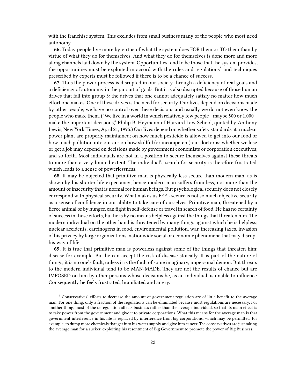with the franchise system. This excludes from small business many of the people who most need autonomy.

**66.** Today people live more by virtue of what the system does FOR them or TO them than by virtue of what they do for themselves. And what they do for themselves is done more and more along channels laid down by the system. Opportunities tend to be those that the system provides, the opportunities must be exploited in accord with the rules and regulations<sup>5</sup> and techniques prescribed by experts must be followed if there is to be a chance of success.

**67.** Thus the power process is disrupted in our society through a deficiency of real goals and a deficiency of autonomy in the pursuit of goals. But it is also disrupted because of those human drives that fall into group 3: the drives that one cannot adequately satisfy no matter how much effort one makes. One of these drives is the need for security. Our lives depend on decisions made by other people; we have no control over these decisions and usually we do not even know the people who make them. ("We live in a world in which relatively few people—maybe 500 or 1,000 make the important decisions," Philip B. Heymann of Harvard Law School, quoted by Anthony Lewis, New York Times, April 21, 1995.) Our lives depend on whether safety standards at a nuclear power plant are properly maintained; on how much pesticide is allowed to get into our food or how much pollution into our air; on how skillful (or incompetent) our doctor is; whether we lose or get a job may depend on decisions made by government economists or corporation executives; and so forth. Most individuals are not in a position to secure themselves against these threats to more than a very limited extent. The individual's search for security is therefore frustrated, which leads to a sense of powerlessness.

**68.** It may be objected that primitive man is physically less secure than modern man, as is shown by his shorter life expectancy; hence modern man suffers from less, not more than the amount of insecurity that is normal for human beings. But psychological security does not closely correspond with physical security. What makes us FEEL seeure is not so much objective security as a sense of confidence in our ability to take care of ourselves. Primitive man, threatened by a fierce animal or by hunger, can fight in self-defense or travel in search of food. He has no certainty of success in these efforts, but he is by no means helpless against the things that threaten him. The modern individual on the other hand is threatened by many things against which he is helpless; nuclear accidents, carcinogens in food, environmental pollution, war, increasing taxes, invasion of his privacy by large organizations, nationwide social or economic phenomena that may disrupt his way of life.

**69.** It is true that primitive man is powerless against some of the things that threaten him; disease for example. But he can accept the risk of disease stoically. It is part of the nature of things, it is no one's fault, unless it is the fault of some imaginary, impersonal demon. But threats to the modern individual tend to be MAN-MADE. They are not the results of chance but are IMPOSED on him by other persons whose decisions he, as an individual, is unable to influence. Consequently he feels frustrated, humiliated and angry.

<sup>5</sup> Conservatives' efforts to decrease the amount of government regulation are of little benefit to the average man. For one thing, only a fraction of the regulations can be eliminated because most regulations are necessary. For another thing, most of the deregulation affects business rather than the average individual, so that its main effect is to take power from the government and give it to private corporations. What this means for the average man is that government interference in his life is replaced by interference from big corporations, which may be permitted, for example, to dump more chemicals that get into his water supply and give him cancer. The conservatives are just taking the average man for a sucker, exploiting his resentment of Big Government to promote the power of Big Business.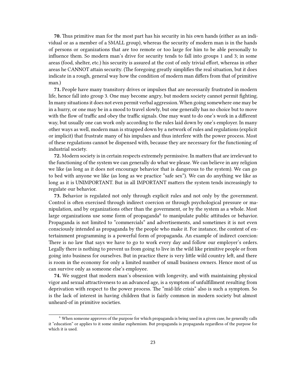**70.** Thus primitive man for the most part has his security in his own hands (either as an individual or as a member of a SMALL group), whereas the security of modern man is in the hands of persons or organizations that are too remote or too large for him to be able personally to influence them. So modern man's drive for security tends to fall into groups 1 and 3; in some areas (food, shelter, etc.) his security is assured at the cost of only trivial effort, whereas in other areas he CANNOT attain security. (The foregoing greatly simplifies the real situation, but it does indicate in a rough, general way how the condition of modern man differs from that of primitive man.)

**71.** People have many transitory drives or impulses that are necessarily frustrated in modern life, hence fall into group 3. One may become angry, but modern society cannot permit fighting. In many situations it does not even permit verbal aggression. When going somewhere one may be in a hurry, or one may be in a mood to travel slowly, but one generally has no choice but to move with the flow of traffic and obey the traffic signals. One may want to do one's work in a different way, but usually one can work only according to the rules laid down by one's employer. In many other ways as well, modern man is strapped down by a network of rules and regulations (explicit or implicit) that frustrate many of his impulses and thus interfere with the power process. Most of these regulations cannot be dispensed with, because they are necessary for the functioning of industrial society.

**72.** Modern society is in certain respects extremely permissive. In matters that are irrelevant to the functioning of the system we can generally do what we please. We can believe in any religion we like (as long as it does not encourage behavior that is dangerous to the system). We can go to bed with anyone we like (as long as we practice "safe sex"). We can do anything we like as long as it is UNIMPORTANT. But in all IMPORTANT matters the system tends increasingly to regulate our behavior.

**73.** Behavior is regulated not only through explicit rules and not only by the government. Control is often exercised through indirect coercion or through psychological pressure or manipulation, and by organizations other than the government, or by the system as a whole. Most large organizations use some form of propaganda $^6$  to manipulate public attitudes or behavior. Propaganda is not limited to "commercials" and advertisements, and sometimes it is not even consciously intended as propaganda by the people who make it. For instance, the content of entertainment programming is a powerful form of propaganda. An example of indirect coercion: There is no law that says we have to go to work every day and follow our employer's orders. Legally there is nothing to prevent us from going to live in the wild like primitive people or from going into business for ourselves. But in practice there is very little wild country left, and there is room in the economy for only a limited number of small business owners. Hence most of us can survive only as someone else's employee.

**74.** We suggest that modern man's obsession with longevity, and with maintaining physical vigor and sexual attractiveness to an advanced age, is a symptom of unfulfillment resulting from deprivation with respect to the power process. The "mid-life crisis" also is such a symptom. So is the lack of interest in having children that is fairly common in modern society but almost unheard-of in primitive societies.

<sup>6</sup> When someone approves of the purpose for which propaganda is being used in a given case, he generally calls it "education" or applies to it some similar euphemism. But propaganda is propaganda regardless of the purpose for which it is used.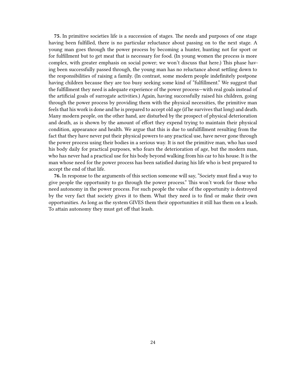**75.** In primitive societies life is a succession of stages. The needs and purposes of one stage having been fulfilled, there is no particular reluctance about passing on to the next stage. A young man goes through the power process by becoming a hunter, hunting not for sport or for fulfillment but to get meat that is necessary for food. (In young women the process is more complex, with greater emphasis on social power; we won't discuss that here.) This phase having been successfully passed through, the young man has no reluctance about settling down to the responsibilities of raising a family. (In contrast, some modern people indefinitely postpone having children because they are too busy seeking some kind of "fulfillment." We suggest that the fulfillment they need is adequate experience of the power process—with real goals instead of the artificial goals of surrogate activities.) Again, having successfully raised his children, going through the power process by providing them with the physical necessities, the primitive man feels that his work is done and he is prepared to accept old age (if he survives that long) and death. Many modern people, on the other hand, are disturbed by the prospect of physical deterioration and death, as is shown by the amount of effort they expend trying to maintain their physical condition, appearance and health. We argue that this is due to unfulfillment resulting from the fact that they have never put their physical powers to any practical use, have never gone through the power process using their bodies in a serious way. It is not the primitive man, who has used his body daily for practical purposes, who fears the deterioration of age, but the modern man, who has never had a practical use for his body beyond walking from his car to his house. It is the man whose need for the power process has been satisfied during his life who is best prepared to accept the end of that life.

**76.** In response to the arguments of this section someone will say, "Society must find a way to give people the opportunity to go through the power process." This won't work for those who need autonomy in the power process. For such people the value of the opportunity is destroyed by the very fact that society gives it to them. What they need is to find or make their own opportunities. As long as the system GIVES them their opportunities it still has them on a leash. To attain autonomy they must get off that leash.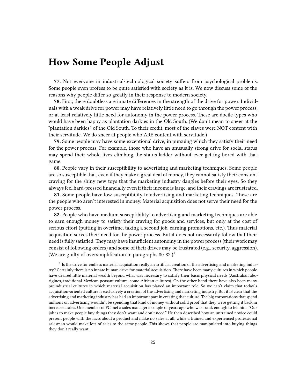### <span id="page-24-0"></span>**How Some People Adjust**

**77.** Not everyone in industrial-technological society suffers from psychological problems. Some people even profess to be quite satisfied with society as it is. We now discuss some of the reasons why people differ so greatly in their response to modern society.

**78.** First, there doubtless are innate differences in the strength of the drive for power. Individuals with a weak drive for power may have relatively little need to go through the power process, or at least relatively little need for autonomy in the power process. These are docile types who would have been happy as plantation darkies in the Old South. (We don't mean to sneer at the "plantation darkies" of the Old South. To their credit, most of the slaves were NOT content with their servitude. We do sneer at people who ARE content with servitude.)

**79.** Some people may have some exceptional drive, in pursuing which they satisfy their need for the power process. For example, those who have an unusually strong drive for social status may spend their whole lives climbing the status ladder without ever getting bored with that game.

**80.** People vary in their susceptibility to advertising and marketing techniques. Some people are so susceptible that, even if they make a great deal of money, they cannot satisfy their constant craving for the shiny new toys that the marketing industry dangles before their eyes. So they always feel hard-pressed financially even if their income is large, and their cravings are frustrated.

**81.** Some people have low susceptibility to advertising and marketing techniques. These are the people who aren't interested in money. Material acquisition does not serve their need for the power process.

**82.** People who have medium susceptibility to advertising and marketing techniques are able to earn enough money to satisfy their craving for goods and services, but only at the cost of serious effort (putting in overtime, taking a second job, earning promotions, etc.). Thus material acquisition serves their need for the power process. But it does not necessarily follow that their need is fully satisfied. They may have insufficient autonomy in the power process (their work may consist of following orders) and some of their drives may be frustrated (e.g., security, aggression). (We are guilty of oversimplification in paragraphs  $80-82$ .)<sup>1</sup>

<sup>&</sup>lt;sup>1</sup> Is the drive for endless material acquisition really an artificial creation of the advertising and marketing industry? Certainly there is no innate human drive for material acquisition. There have been many cultures in which people have desired little material wealth beyond what was necessary to satisfy their basic physical needs (Australian aborigines, traditional Mexican peasant culture, some African cultures). On the other hand there have also been many preindustrial cultures in which material acquisition has played an important role. So we can't claim that today's acquisition-oriented culture is exclusively a creation of the advertising and marketing industry. But it IS clear that the advertising and marketing industry has had an important part in creating that culture. The big corporations that spend millions on advertising wouldn't be spending that kind of money without solid proof that they were getting it back in increased sales. One member of FC met a sales manager a couple of years ago who was frank enough to tell him, "Our job is to make people buy things they don't want and don't need." He then described how an untrained novice could present people with the facts about a product and make no sales at all, while a trained and experienced professional salesman would make lots of sales to the same people. This shows that people are manipulated into buying things they don't really want.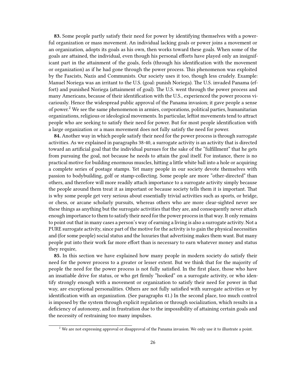**83.** Some people partly satisfy their need for power by identifying themselves with a powerful organization or mass movement. An individual lacking goals or power joins a movement or an organization, adopts its goals as his own, then works toward these goals. When some of the goals are attained, the individual, even though his personal efforts have played only an insignificant part in the attainment of the goals, feels (through his identification with the movement or organization) as if he had gone through the power process. This phenomenon was exploited by the Fascists, Nazis and Communists. Our society uses it too, though less crudely. Example: Manuel Noriega was an irritant to the U.S. (goal: punish Noriega). The U.S. invaded Panama (effort) and punished Noriega (attainment of goal). The U.S. went through the power process and many Americans, because of their identification with the U.S., experienced the power process vicariously. Hence the widespread public approval of the Panama invasion; it gave people a sense of power.<sup>2</sup> We see the same phenomenon in armies, corporations, political parties, humanitarian organizations, religious or ideological movements. In particular, leftist movements tend to attract people who are seeking to satisfy their need for power. But for most people identification with a large organization or a mass movement does not fully satisfy the need for power.

**84.** Another way in which people satisfy their need for the power process is through surrogate activities. As we explained in paragraphs 38-40, a surrogate activity is an activity that is directed toward an artificial goal that the individual pursues for the sake of the "fulfillment" that he gets from pursuing the goal, not because he needs to attain the goal itself. For instance, there is no practical motive for building enormous muscles, hitting a little white ball into a hole or acquiring a complete series of postage stamps. Yet many people in our society devote themselves with passion to bodybuilding, golf or stamp-collecting. Some people are more "other-directed" than others, and therefore will more readily attach importance to a surrogate activity simply because the people around them treat it as important or because society tells them it is important. That is why some people get very serious about essentially trivial activities such as sports, or bridge, or chess, or arcane scholarly pursuits, whereas others who are more clear-sighted never see these things as anything but the surrogate activities that they are, and consequently never attach enough importance to them to satisfy their need for the power process in that way. It only remains to point out that in many cases a person's way of earning a living is also a surrogate activity. Not a PURE surrogate activity, since part of the motive for the activity is to gain the physical necessities and (for some people) social status and the luxuries that advertising makes them want. But many people put into their work far more effort than is necessary to earn whatever money and status they require,

**85.** In this section we have explained how many people in modern society do satisfy their need for the power process to a greater or lesser extent. But we think that for the majority of people the need for the power process is not fully satisfied. In the first place, those who have an insatiable drive for status, or who get firmly "hooked" on a surrogate activity, or who identify strongly enough with a movement or organization to satisfy their need for power in that way, are exceptional personalities. Others are not fully satisfied with surrogate activities or by identification with an organization. (See paragraphs 41.) In the second place, too much control is imposed by the system through explicit regulation or through socialization, which results in a deficiency of autonomy, and in frustration due to the impossibility of attaining certain goals and the necessity of restraining too many impulses.

<sup>&</sup>lt;sup>2</sup> We are not expressing approval or disapproval of the Panama invasion. We only use it to illustrate a point.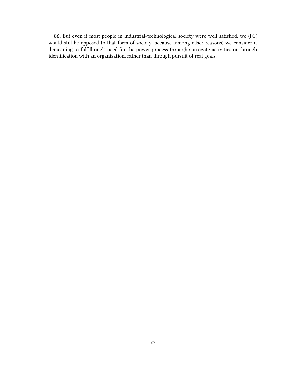**86.** But even if most people in industrial-technological society were well satisfied, we (FC) would still be opposed to that form of society, because (among other reasons) we consider it demeaning to fulfill one's need for the power process through surrogate activities or through identification with an organization, rather than through pursuit of real goals.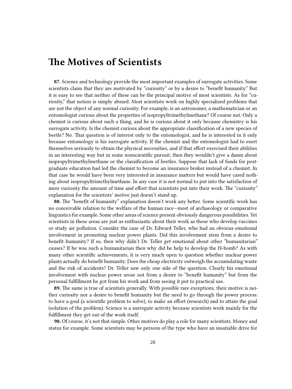### <span id="page-27-0"></span>**The Motives of Scientists**

**87.** Science and technology provide the most important examples of surrogate activities. Some scientists claim that they are motivated by "curiosity" or by a desire to "benefit humanity." But it is easy to see that neither of these can be the principal motive of most scientists. As for "curiosity," that notion is simply absurd. Most scientists work on highly specialized problems that are not the object of any normal curiosity. For example, is an astronomer, a mathematician or an entomologist curious about the properties of isopropyltrimethylmethane? Of course not. Only a chemist is curious about such a thing, and he is curious about it only because chemistry is his surrogate activity. Is the chemist curious about the appropriate classification of a new species of beetle? No. That question is of interest only to the entomologist, and he is interested in it only because entomology is his surrogate activity. If the chemist and the entomologist had to exert themselves seriously to obtain the physical necessities, and if that effort exercised their abilities in an interesting way but in some nonscientific pursuit, then they wouldn't give a damn about isopropyltrimethylmethane or the classification of beetles. Suppose that lack of funds for postgraduate education had led the chemist to become an insurance broker instead of a chemist. In that case he would have been very interested in insurance matters but would have cared nothing about isopropyltrimcthylmethane. In any case it is not normal to put into the satisfaction of mere curiosity the amount of time and effort that scientists put into their work. The "curiosity" explanation for the scientists' motive just doesn't stand up.

**88.** The "benefit of humanity" explanation doesn't work any better. Some scientific work has no conceivable relation to the welfare of the human race—most of archaeology or comparative linguistics for example. Some other areas of science present obviously dangerous possibilities. Yet scientists in these areas are just as enthusiastic about their work as those who develop vaccines or study air pollution. Consider the case of Dr. Edward Teller, who had an obvious emotional involvement in promoting nuclear power plants. Did this involvement stem from a desire to benefit humanity? If so, then why didn't Dr. Teller get emotional about other "humanitarian" causes? If he was such a humanitarian then why did he help to develop the H-bomb? As with many other scientific achievements, it is very much open to question whether nuclear power plants actually do benefit humanity. Does the cheap electricity outweigh the accumulating waste and the risk of accidents? Dr. Teller saw only one side of the question. Clearly his emotional involvement with nuclear power arose not from a desire to "benefit humanity" but from the personal fulfillment he got from his work and from seeing it put to practical use.

**89.** The same is true of scientists generally. With possible rare exceptions, their motive is neither curiosity nor a desire to benefit humanity but the need to go through the power process: to have a goal (a scientific problem to solve), to make an effort (research) and to attain the goal (solution of the problem). Science is a surrogate activity because scientists work mainly for the fulfillment they get out of the work itself.

**90.** Of course, it's not that simple. Other motives do play a role for many scientists. Money and status for example. Some scientists may be persons of the type who have an insatiable drive for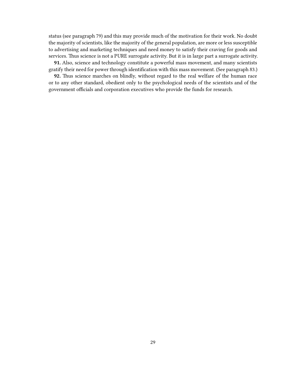status (see paragraph 79) and this may provide much of the motivation for their work. No doubt the majority of scientists, like the majority of the general population, are more or less susceptible to advertising and marketing techniques and need money to satisfy their craving for goods and services. Thus science is not a PURE surrogate activity. But it is in large part a surrogate activity.

**91.** Also, science and technology constitute a powerful mass movement, and many scientists gratify their need for power through identification with this mass movement. (See paragraph 83.)

**92.** Thus science marches on blindly, without regard to the real welfare of the human race or to any other standard, obedient only to the psychological needs of the scientists and of the government officials and corporation executives who provide the funds for research.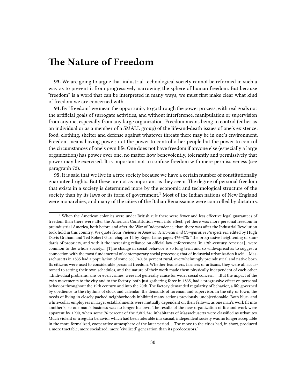### <span id="page-29-0"></span>**The Nature of Freedom**

**93.** We are going to argue that industrial-technological society cannot be reformed in such a way as to prevent it from progressively narrowing the sphere of human freedom. But because "freedom" is a word that can be interpreted in many ways, we must first make clear what kind of freedom we are concerned with.

**94.** By "freedom" we mean the opportunity to go through the power process, with real goals not the artificial goals of surrogate activities, and without interference, manipulation or supervision from anyone, especially from any large organization. Freedom means being in control (either as an individual or as a member of a SMALL group) of the life-and-death issues of one's existence: food, clothing, shelter and defense against whatever threats there may be in one's environment. Freedom means having power; not the power to control other people but the power to control the circumstances of one's own life. One does not have freedom if anyone else (especially a large organization) has power over one, no matter how benevolently, tolerantly and permissively that power may be exercised. It is important not to confuse freedom with mere permissiveness (see paragraph 72).

**95.** It is said that we live in a free society because we have a certain number of constitutionally guaranteed rights. But these are not as important as they seem. The degree of personal freedom that exists in a society is determined more by the economic and technological structure of the society than by its laws or its form of government.<sup>1</sup> Most of the Indian nations of New England were monarchies, and many of the cities of the Italian Renaissance were controlled by dictators.

 $1$  When the American colonies were under British rule there were fewer and less effective legal guarantees of freedom than there were after the American Constitution went into effect, yet there was more personal freedom in preindustrial America, both before and after the War of Independence, than there was after the Industrial Revolution took hold in this country. We quote from *Violence in America: Historical and Comparative Perspectives*, edited by Hugh Davis Graham and Ted Robert Gurr, chapter 12 by Roger Lane, pages 476-478: "The progressive heightening of standards of propriety, and with it the increasing reliance on official law enforcement [in 19th-century America]…were common to the whole society… [T]he change in social behavior is so long term and so wide-spread as to suggest a connection with the most fundamental of contemporary social processes; that of industrial urbanization itself. …Massachusetts in 1835 had a populacion of some 660,940, 81 percent rural, overwhelmingly preindustrial and native born. Its citizens were used to considerable personal freedom. Whether teamsters, farmers or artisans, they were all accustomed to setting their own schedules, and the nature of their work made them physically independent of each other. …Individual problems, sins or even crimes, were not generally cause for wider social concern . …But the impact of the twin movements to the city and to the factory, both just gathering force in 1835, had a progressive effect on personal behavior throughout the 19th century and into the 20th. The factory demanded regularity of behavior, a life governed by obedience to the rhythms of clock and calendar, the demands of foreman and supervisor. In the city or town, the needs of living in closely packed neighborhoods inhibited many actions previously unobjectionable. Both blue- and white-collar employees in larger establishments were mutually dependent on their fellows; as one man's work fit into another's, so one man's business was no longer his own. The results of the new organization of life and work were apparent by 1900, when some 76 percent of the 2,805,346 inhabitants of Massachusetts were classified as urbanites. Much violent or irregular behavior which had been tolerable in a casual, independent society was no longer acceptable in the more formalized, cooperative atmosphere of the later period. …The move to the cities had, in short, produced a more tractable, more socialized, more 'civilized' generation than its predecessors."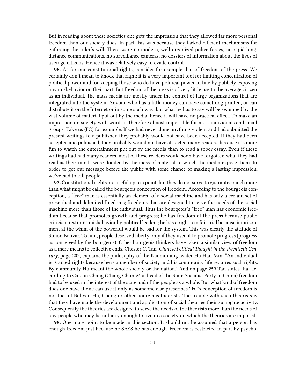But in reading about these societies one gets the impression that they allowed far more personal freedom than our society does. In part this was because they lacked efficient mechanisms for enforcing the ruler's will: There were no modern, well-organized police forces, no rapid longdistance communications, no surveillance cameras, no dossiers of information about the lives of average citizens. Hence it was relatively easy to evade control.

**96.** As for our constitutional rights, consider for example that of freedom of the press. We certainly don't mean to knock that right; it is a very important tool for limiting concentration of political power and for keeping those who do have political power in line by publicly exposing any misbehavior on their part. But freedom of the press is of very little use to the average citizen as an individual. The mass media are mostly under the control of large organizations that are integrated into the system. Anyone who has a little money can have something printed, or can distribute it on the Internet or in some such way, but what he has to say will be swamped by the vast volume of material put out by the media, hence it will have no practical effect. To make an impression on society with words is therefore almost impossible for most individuals and small groups. Take us (FC) for example. If we had never done anything violent and had submitted the present writings to a publisher, they probably would not have been accepted. If they had been accepted and published, they probably would not have attracted many readers, because it's more fun to watch the entertainment put out by the media than to read a sober essay. Even if these writings had had many readers, most of these readers would soon have forgotten what they had read as their minds were flooded by the mass of material to which the media expose them. In order to get our message before the public with some chance of making a lasting impression, we've had to kill people.

**97.** Constitutional rights are useful up to a point, but they do not serve to guarantee much more than what might be called the bourgeois conception of freedom. According to the bourgeois conception, a "free" man is essentially an element of a social machine and has only a certain set of prescribed and delimited freedoms; freedoms that are designed to serve the needs of the social machine more than those of the individual. Thus the bourgeois's "free" man has economic freedom because that promotes growth and progress; he has freedom of the press because public criticism restrains misbehavior by political leaders; he has a right to a fair trial because imprisonment at the whim of the powerful would be bad for the system. This was clearly the attitude of Simón Bolívar. To him, people deserved liberty only if they used it to promote progress (progress as conceived by the bourgeois). Other bourgeois thinkers have taken a similar view of freedom as a mere means to collective ends. Chester C. Tan, *Chinese Political Thought in the Twentieth Century*, page 202, explains the philosophy of the Kuomintang leader Hu Han-Min: "An individual is granted rights because he is a member of society and his community life requires such rights. By community Hu meant the whole society or the nation." And on page 259 Tan states that according to Carsun Chang (Chang Chun-Mai, head of the State Socialist Party in China) freedom had to be used in the interest of the state and of the people as a whole. But what kind of freedom does one have if one can use it only as someone else prescribes? FC's conception of freedom is not that of Bolivar, Hu, Chang or other bourgeois theorists. The trouble with such theorists is that they have made the development and application of social theories their surrogate activity. Consequently the theories are designed to serve the needs of the theorists more than the needs of any people who may be unlucky enough to live in a society on which the theories are imposed.

**98.** One more point to be made in this section: It should not be assumed that a person has enough freedom just because he SAYS he has enough. Freedom is restricted in part by psycho-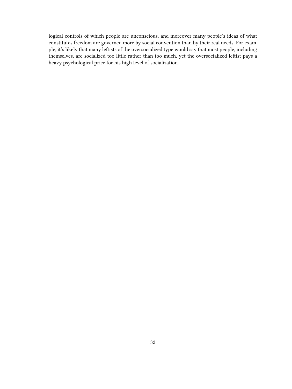logical controls of which people are unconscious, and moreover many people's ideas of what constitutes freedom are governed more by social convention than by their real needs. For example, it's likely that many leftists of the oversocialized type would say that most people, including themselves, are socialized too little rather than too much, yet the oversocialized leftist pays a heavy psychological price for his high level of socialization.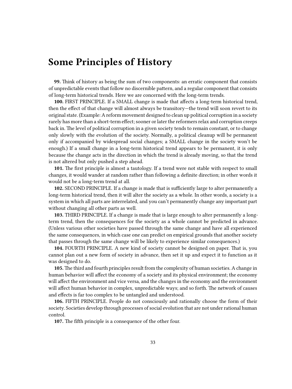### <span id="page-32-0"></span>**Some Principles of History**

**99.** Think of history as being the sum of two components: an erratic component that consists of unpredictable events that follow no discernible pattern, and a regular component that consists of long-term historical trends. Here we are concerned with the long-term trends.

**100.** FIRST PRINCIPLE. If a SMALL change is made that affects a long-term historical trend, then the effect of that change will almost always be transitory—the trend will soon revert to its original state. (Example: A reform movement designed to clean up political corruption in a society rarely has more than a short-term effect; sooner or later the reformers relax and corruption creeps back in. The level of political corruption in a given society tends to remain constant, or to change only slowly with the evolution of the society. Normally, a political cleanup will be permanent only if accompanied by widespread social changes; a SMALL change in the society won't be enough.) If a small change in a long-term historical trend appears to be permanent, it is only because the change acts in the direction in which the trend is already moving, so that the trend is not altered but only pushed a step ahead.

**101.** The first principle is almost a tautology. If a trend were not stable with respect to small changes, it would wander at random rather than following a definite direction; in other words it would not be a long-term trend at all.

**102.** SECOND PRINCIPLE. If a change is made that is sufficiently large to alter permanently a long-term historical trend, then it will alter the society as a whole. In other words, a society is a system in which all parts are interrelated, and you can't permanently change any important part without changing all other parts as well.

**103.** THIRD PRINCIPLE. If a change is made that is large enough to alter permanently a longterm trend, then the consequences for the society as a whole cannot be predicted in advance. (Unless various other societies have passed through the same change and have all experienced the same consequences, in which case one can predict on empirical grounds that another society that passes through the same change will be likely to experience similar consequences.)

**104.** FOURTH PRINCIPLE. A new kind of society cannot be designed on paper. That is, you cannot plan out a new form of society in advance, then set it up and expect it to function as it was designed to do.

**105.** The third and fourth principles result from the complexity of human societies. A change in human behavior will affect the economy of a society and its physical environment; the economy will affect the environment and vice versa, and the changes in the economy and the environment will affect human behavior in complex, unpredictable ways; and so forth. The network of causes and effects is far too complex to be untangled and understood.

**106.** FIFTH PRINCIPLE. People do not consciously and rationally choose the form of their society. Societies develop through processes of social evolution that are not under rational human control.

**107.** The fifth principle is a consequence of the other four.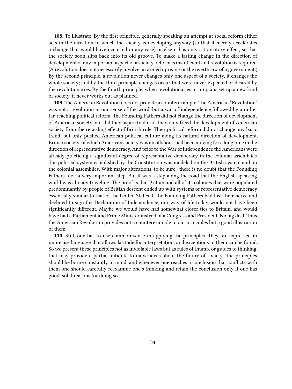**108.** To illustrate: By the first principle, generally speaking an attempt at social reform either acts in the direction in which the society is developing anyway (so that it merely accelerates a change that would have occurred in any case) or else it has only a transitory effect, so that the society soon slips back into its old groove. To make a lasting change in the direction of development of any important aspect of a society, reform is insufficient and revolution is required. (A revolution does not necessarily involve an armed uprising or the overthrow of a government.) By the second principle, a revolution never changes only one aspect of a society, it changes the whole society; and by the third principle changes occur that were never expected or desired by the revolutionaries. By the fourth principle, when revolutionaries or utopians set up a new kind of society, it never works out as planned.

**109.** The American Revolution does not provide a counterexample. The American "Revolution" was not a revolution in our sense of the word, but a war of independence followed by a rather far-reaching political reform. The Founding Fathers did not change the direction of development of American society, nor did they aspire to do so. They only freed the development of American society from the retarding effect of British rule. Their political reform did not change any basic trend, but only pushed American political culture along its natural direction of development. British society, of which American society was an offshoot, had been moving for a long time in the direction of representative democracy. And prior to the War of Independence the Americans were already practicing a significant degree of representative democracy in the colonial assemblies. The political system established by the Constitution was modeled on the British system and on the colonial assemblies. With major alterations, to be sure—there is no doubt that the Founding Fathers took a very important step. But it was a step along the road that the English-speaking world was already traveling. The proof is that Britain and all of its colonies that were populated predominantly by people of British descent ended up with systems of representative democracy essentially similar to that of the United States. If the Founding Fathers had lost their nerve and declined to sign the Declaration of Independence, our way of life today would not have been significantly different. Maybe we would have had somewhat closer ties to Britain, and would have had a Parliament and Prime Minister instead of a Congress and President. No big deal. Thus the American Revolution provides not a counterexample to our principles but a good illustration of them.

**110.** Still, one has to use common sense in applying the principles. They are expressed in imprecise language that allows latitude for interpretation, and exceptions to them can be found. So we present these principles not as inviolable laws but as rules of thumb, or guides to thinking, that may provide a partial antidote to naive ideas about the future of society. The principles should be borne constantly in mind, and whenever one reaches a conclusion that conflicts with them one should carefully reexamine one's thinking and retain the conclusion only if one has good, solid reasons for doing so.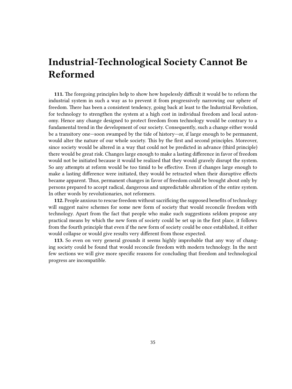# <span id="page-34-0"></span>**Industrial-Technological Society Cannot Be Reformed**

**111.** The foregoing principles help to show how hopelessly difficult it would be to reform the industrial system in such a way as to prevent it from progressively narrowing our sphere of freedom. There has been a consistent tendency, going back at least to the Industrial Revolution, for technology to strengthen the system at a high cost in individual freedom and local autonomy. Hence any change designed to protect freedom from technology would be contrary to a fundamental trend in the development of our society. Consequently, such a change either would be a transitory one—soon swamped by the tide of history—or, if large enough to be permanent, would alter the nature of our whole society. This by the first and second principles. Moreover, since society would be altered in a way that could not be predicted in advance (third principle) there would be great risk. Changes large enough to make a lasting difference in favor of freedom would not be initiated because it would be realized that they would gravely disrupt the system. So any attempts at reform would be too timid to be effective. Even if changes large enough to make a lasting difference were initiated, they would be retracted when their disruptive effects became apparent. Thus, permanent changes in favor of freedom could be brought about only by persons prepared to accept radical, dangerous and unpredictable alteration of the entire system. In other words by revolutionaries, not reformers.

**112.** People anxious to rescue freedom without sacrificing the supposed benefits of technology will suggest naive schemes for some new form of society that would reconcile freedom with technology. Apart from the fact that people who make such suggestions seldom propose any practical means by which the new form of society could be set up in the first place, it follows from the fourth principle that even if the new form of society could be once established, it either would collapse or would give results very different from those expected.

**113.** So even on very general grounds it seems highly improbable that any way of changing society could be found that would reconcile freedom with modern technology. In the next few sections we will give more specific reasons for concluding that freedom and technological progress are incompatible.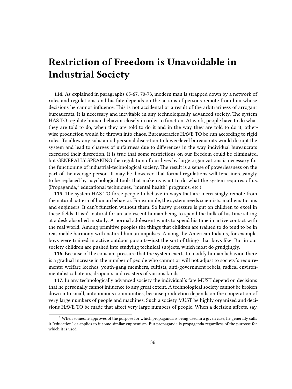# <span id="page-35-0"></span>**Restriction of Freedom is Unavoidable in Industrial Society**

**114.** As explained in paragraphs 65-67, 70-73, modern man is strapped down by a network of rules and regulations, and his fate depends on the actions of persons remote from him whose decisions he cannot influence. This is not accidental or a result of the arbitrariness of arrogant bureaucrats. It is necessary and inevitable in any technologically advanced society. The system HAS TO regulate human behavior closely in order to function. At work, people have to do what they are told to do, when they are told to do it and in the way they are told to do it, otherwise production would be thrown into chaos. Bureaucracies HAVE TO be run according to rigid rules. To allow any substantial personal discretion to lower-level bureaucrats would disrupt the system and lead to charges of unfairness due to differences in the way individual bureaucrats exercised their discretion. It is true that some restrictions on our freedom could be eliminated. but GENERALLY SPEAKING the regulation of our lives by large organizations is necessary for the functioning of industrial-technological society. The result is a sense of powerlessness on the part of the average person. It may be. however. that formal regulations will tend increasingly to be replaced by psychological tools that make us want to do what the system requires of us. (Propaganda,<sup>1</sup> educational techniques, "mental health" programs, etc.)

**115.** The system HAS TO force people to behave in ways that are increasingly remote from the natural pattern of human behavior. For example, the system needs scientists. mathematicians and engineers. It can't function without them. So heavy pressure is put on children to excel in these fields. It isn't natural for an adolescent human being to spend the bulk of his time sitting at a desk absorbed in study. A normal adolescent wants to spend his time in active contact with the real world. Among primitive peoples the things that children are trained to do tend to be in reasonable harmony with natural human impulses. Among the American Indians, for example, boys were trained in active outdoor pursuits—just the sort of things that boys like. But in our society children are pushed into studying technical subjects, which most do grudgingly.

**116.** Because of the constant pressure that the system exerts to modify human behavior, there is a gradual increase in the number of people who cannot or will not adjust to society's requirements: welfare leeches, youth-gang members, cultists, anti-government rebels, radical environmentalist saboteurs, dropouts and resisters of various kinds.

**117.** In any technologically advanced society the individual's fate MUST depend on decisions that he personally cannot influence to any great extent. A technological society cannot be broken down into small, autonomous communities, because production depends on the cooperation of very large numbers of people and machines. Such a society MUST be highly organized and decisions HAVE TO be made that affect very large numbers of people. When a decision affects, say,

 $1$  When someone approves of the purpose for which propaganda is being used in a given case, he generally calls it "education" or applies to it some similar euphemism. But propaganda is propaganda regardless of the purpose for which it is used.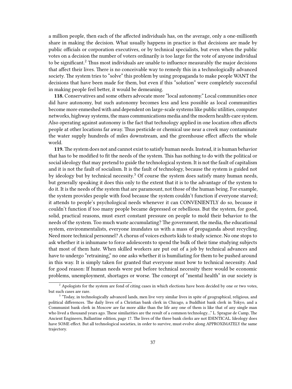a million people, then each of the affected individuals has, on the average, only a one-millionth share in making the decision. What usually happens in practice is that decisions are made by public officials or corporation executives, or by technical specialists, but even when the public votes on a decision the number of voters ordinarily is too large for the vote of anyone individual to be significant.<sup>2</sup> Thus most individuals are unable to influence measurably the major decisions that affect their lives. There is no conceivable way to remedy this in a technologically advanced society. The system tries to "solve" this problem by using propaganda to make people WANT the decisions that have been made for them, but even if this "solution" were completely successful in making people feel better, it would be demeaning.

**118.** Conservatives and some others advocate more "local autonomy." Local communities once did have autonomy, but such autonomy becomes less and less possible as local communities become more enmeshed with and dependent on large-scale systems like public utilities, computer networks, highway systems, the mass communications media and the modern health-care system. Also operating against autonomy is the fact that technology applied in one location often affects people at other locations far away. Thus pesticide or chemical use near a creek may contaminate the water supply hundreds of miles downstream, and the greenhouse effect affects the whole world.

**119.**The system does not and cannot exist to satisfy human needs. Instead, it is human behavior that has to be modified to fit the needs of the system. This has nothing to do with the political or social ideology that may pretend to guide the technological system. It is not the fault of capitalism and it is not the fault of socialism. It is the fault of technology, because the system is guided not by ideology but by technical necessity.<sup>3</sup> Of course the system does satisfy many human needs, but generally speaking it does this only to the extent that it is to the advantage of the system to do it. It is the needs of the system that are paramount, not those of the human being. For example, the system provides people with food because the system couldn't function if everyone starved; it attends to people's psychological needs whenever it can CONVENIENTLY do so, because it couldn't function if too many people became depressed or rebellious. But the system, for good, solid, practical reasons, must exert constant pressure on people to mold their behavior to the needs of the system. Too much waste accumulating? The government, the media, the educational system, environmentalists, everyone inundates us with a mass of propaganda about recycling. Need more technical personnel? A chorus of voices exhorts kids to study science. No one stops to ask whether it is inhumane to force adolescents to spend the bulk of their time studying subjects that most of them hate. When skilled workers are put out of a job by technical advances and have to undergo "retraining," no one asks whether it is humiliating for them to be pushed around in this way. It is simply taken for granted that everyone must bow to technical necessity. And for good reason: If human needs were put before technical necessity there would be economic problems, unemployment, shortages or worse. The concept of "mental health" in our society is

<sup>&</sup>lt;sup>2</sup> Apologists for the system are fond of citing cases in which elections have been decided by one or two votes, but such cases are rare.

<sup>&</sup>lt;sup>3</sup> "Today, in technologically advanced lands, men live very similar lives in spite of geographical, religious, and political differences. The daily lives of a Christian bank clerk in Chicago, a Buddhist bank clerk in Tokyo, and a Communist bank clerk in Moscow are far more alike than the life any one of them is like that of any single man who lived a thousand years ago. These similarities are the result of a common technology…" L. Sprague de Camp, The Ancient Engineers, Ballantine edition, page 17. The lives of the three bank clerks are not IDENTICAL. Ideology does have SOME effect. But all technological societies, in order to survive, must evolve along APPROXIMATELY the same trajectory.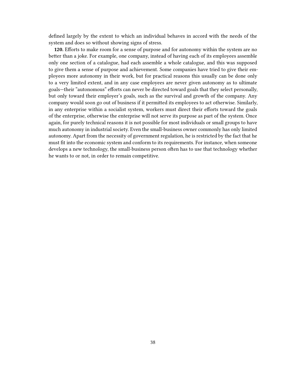defined largely by the extent to which an individual behaves in accord with the needs of the system and does so without showing signs of stress.

**120.** Efforts to make room for a sense of purpose and for autonomy within the system are no better than a joke. For example, one company, instead of having each of its employees assemble only one section of a catalogue, had each assemble a whole catalogue, and this was supposed to give them a sense of purpose and achievement. Some companies have tried to give their employees more autonomy in their work, but for practical reasons this usually can be done only to a very limited extent, and in any case employees are never given autonomy as to ultimate goals—their "autonomous" efforts can never be directed toward goals that they select personally, but only toward their employer's goals, such as the survival and growth of the company. Any company would soon go out of business if it permitted its employees to act otherwise. Similarly, in any enterprise within a socialist system, workers must direct their efforts toward the goals of the enterprise, otherwise the enterprise will not serve its purpose as part of the system. Once again, for purely technical reasons it is not possible for most individuals or small groups to have much autonomy in industrial society. Even the small-business owner commonly has only limited autonomy. Apart from the necessity of government regulation, he is restricted by the fact that he must fit into the economic system and conform to its requirements. For instance, when someone develops a new technology, the small-business person often has to use that technology whether he wants to or not, in order to remain competitive.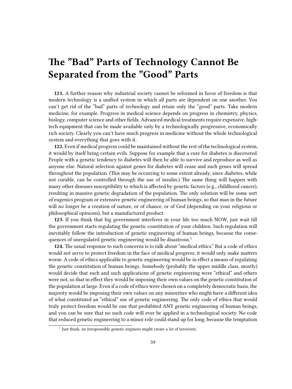# **The "Bad" Parts of Technology Cannot Be Separated from the "Good" Parts**

**121.** A further reason why industrial society cannot be reformed in favor of freedom is that modern technology is a unified system in which all parts are dependent on one another. You can't get rid of the "bad" parts of technology and retain only the "good" parts. Take modern medicine, for example. Progress in medical science depends on progress in chemistry, physics, biology, computer science and other fields. Advanced medical treatments require expensive, hightech equipment that can be made available only by a technologically progressive, economically rich society. Clearly you can't have much progress in medicine without the whole technological system and everything that goes with it.

**122.** Even if medical progress could be maintained without the rest of the technological system, it would by itself bring certain evils. Suppose for example that a cure for diabetes is discovered. People with a genetic tendency to diabetes will then be able to survive and reproduce as well as anyone else. Natural selection against genes for diabetes will cease and such genes will spread throughout the population. (This may be occurring to some extent already, since diabetes, while not curable, can be controlled through the use of insulin.) The same thing will happen with many other diseases susceptibility to which is affected by genetic factors (e.g., childhood cancer), resulting in massive genetic degradation of the population. The only solution will be some sort of eugenics program or extensive genetic engineering of human beings, so that man in the future will no longer be a creation of nature, or of chance, or of God (depending on your religious or philosophical opinions), but a manufactured product.

**123.** If you think that big government interferes in your life too much NOW, just wait till the government starts regulating the genetic constitution of your children. Such regulation will inevitably follow the introduction of genetic engineering of human beings, because the consequences of unregulated genetic engineering would be disastrous.<sup>1</sup>

**124.** The usual response to such concerns is to talk about "medical ethics." But a code of ethics would not serve to protect freedom in the face of medical progress; it would only make matters worse. A code of ethics applicable to genetic engineering would be in effect a means of regulating the genetic constitution of human beings. Somebody (probably the upper middle class, mostly) would decide that such and such applications of genetic engineering were "ethical" and others were not, so that in effect they would be imposing their own values on the genetic constitution of the population at large. Even if a code of ethics were chosen on a completely democratic basis, the majority would be imposing their own values on any minorities who might have a different idea of what constituted an "ethical" use of genetic engineering. The only code of ethics that would truly protect freedom would be one that prohibited ANY genetic engineering of human beings, and you can be sure that no such code will ever be applied in a technological society. No code that reduced genetic engineering to a minor role could stand up for long, because the temptation

 $<sup>1</sup>$  Just think, an irresponsible genetic engineer might create a lot of terrorists.</sup>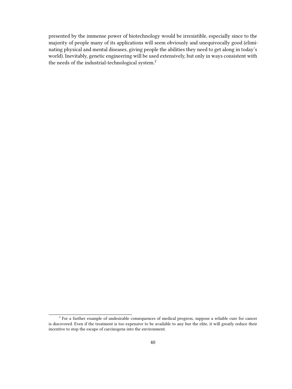presented by the immense power of biotechnology would be irresistible, especially since to the majority of people many of its applications will seem obviously and unequivocally good (eliminating physical and mental diseases, giving people the abilities they need to get along in today's world). Inevitably, genetic engineering will be used extensively, but only in ways consistent with the needs of the industrial-technological system.<sup>2</sup>

<sup>&</sup>lt;sup>2</sup> For a further example of undesirable consequences of medical progress, suppose a reliable cure for cancer is discovered. Even if the treatment is too expensive to be available to any bur the elite, it will greatly reduce their incentive to stop the escape of carcinogens into the environment.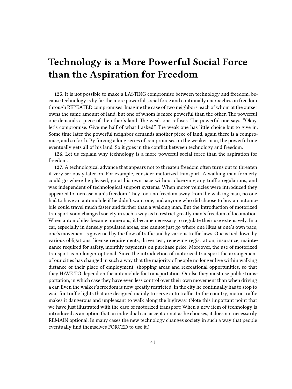# **Technology is a More Powerful Social Force than the Aspiration for Freedom**

**125.** It is not possible to make a LASTING compromise between technology and freedom, because technology is by far the more powerful social force and continually encroaches on freedom through REPEATED compromises. Imagine the case of two neighbors, each of whom at the outset owns the same amount of land, but one of whom is more powerful than the other. The powerful one demands a piece of the other's land. The weak one refuses. The powerful one says, "Okay, let's compromise. Give me half of what I asked." The weak one has little choice but to give in. Some time later the powerful neighbor demands another piece of land, again there is a compromise, and so forth. By forcing a long series of compromises on the weaker man, the powerful one eventually gets all of his land. So it goes in the conflict between technology and freedom.

**126.** Let us explain why technology is a more powerful social force than the aspiration for freedom.

**127.** A technological advance that appears not to threaten freedom often turns out to threaten it very seriously later on. For example, consider motorized transport. A walking man formerly could go where he pleased, go at his own pace without observing any traffic regulations, and was independent of technological support systems. When motor vehicles were introduced they appeared to increase man's freedom. They took no freedom away from the walking man, no one had to have an automobile if he didn't want one, and anyone who did choose to buy an automobile could travel much faster and farther than a walking man. But the introduction of motorized transport soon changed society in such a way as to restrict greatly man's freedom of locomotion. When automobiles became numerous, it became necessary to regulate their use extensively. In a car, especially in densely populated areas, one cannot just go where one likes at one's own pace; one's movement is governed by the flow of traffic and by various traffic laws. One is tied down by various obligations: license requirements, driver test, renewing registration, insurance, maintenance required for safety, monthly payments on purchase price. Moreover, the use of motorized transport is no longer optional. Since the introduction of motorized transport the arrangement of our cities has changed in such a way that the majority of people no longer live within walking distance of their place of employment, shopping areas and recreational opportunities, so that they HAVE TO depend on the automobile for transportation. Or else they must use public transportation, in which case they have even less control over their own movement than when driving a car. Even the walker's freedom is now greatly restricted. In the city he continually has to stop to wait for traffic lights that are designed mainly to serve auto traffic. In the country, motor traffic makes it dangerous and unpleasant to walk along the highway. (Note this important point that we have just illustrated with the case of motorized transport: When a new item of technology is introduced as an option that an individual can accept or not as he chooses, it does not necessarily REMAIN optional. In many cases the new technology changes society in such a way that people eventually find themselves FORCED to use it.)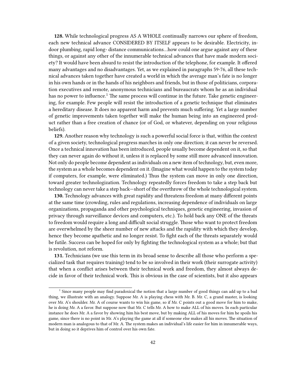**128.** While technological progress AS A WHOLE continually narrows our sphere of freedom, each new technical advance CONSIDERED BY ITSELF appears to be desirable. Electricity, indoor plumbing, rapid long- distance communications…how could one argue against any of these things, or against any other of the innumerable technical advances that have made modern society? It would have been absurd to resist the introduction of the telephone, for example. It offered many advantages and no disadvantages. Yet, as we explained in paragraphs 59-76, all these technical advances taken together have created a world in which the average man's fate is no longer in his own hands or in the hands of his neighbors and friends, but in those of politicians, corporation executives and remote, anonymous technicians and bureaucrats whom he as an individual has no power to influence.<sup>1</sup> The same process will continue in the future. Take genetic engineering, for example. Few people will resist the introduction of a genetic technique that eliminates a hereditary disease. It does no apparent harm and prevents much suffering. Yet a large number of genetic improvements taken together will make the human being into an engineered product rather than a free creation of chance (or of God, or whatever, depending on your religious beliefs).

**129.** Another reason why technology is such a powerful social force is that, within the context of a given society, technological progress marches in only one direction; it can never be reversed. Once a technical innovation has been introduced, people usually become dependent on it, so that they can never again do without it, unless it is replaced by some still more advanced innovation. Not only do people become dependent as individuals on a new item of technology, but, even more, the system as a whole becomes dependent on it. (Imagine what would happen to the system today if computers, for example, were eliminated.) Thus the system can move in only one direction, toward greater technologization. Technology repeatedly forces freedom to take a step back but technology can never take a step back—short of the overthrow of the whole technological system.

**130.** Technology advances with great rapidity and threatens freedom at many different points at the same time (crowding, rules and regulations, increasing dependence of individuals on large organizations, propaganda and other psychological techniques, genetic engineering, invasion of privacy through surveillance devices and computers, etc.). To hold back any ONE of the threats to freedom would require a long and difficult social struggle. Those who want to protect freedom are overwhelmed by the sheer number of new attacks and the rapidity with which they develop, hence they become apathetic and no longer resist. To fight each of the threats separately would be futile. Success can be hoped for only by fighting the technological system as a whole; but that is revolution, not reform.

**131.** Technicians (we use this term in its broad sense to describe all those who perform a specialized task that requires training) tend to be so involved in their work (their surrogate activity) that when a conflict arises between their technical work and freedom, they almost always decide in favor of their technical work. This is obvious in the case of scientists, but it also appears

<sup>&</sup>lt;sup>1</sup> Since many people may find paradoxical the notion that a large number of good things can add up to a bad thing, we illustrate with an analogy. Suppose Mr. A is playing chess with Mr. B. Mr. C, a grand master, is looking over Mr. A's shoulder. Mr. A of course wants to win his game, so if Mr. C points out a good move for him to make, he is doing Mr. A a favor. But suppose now that Mr. C tells Mr. A how to make ALL of his moves. In each particular instance he does Mr. A a favor by showing him his best move, but by making ALL of his moves for him he spoils his game, since there is no point in Mr. A's playing the game at all if someone else makes all his moves. The situation of modern man is analogous to that of Mr. A. The system makes an individual's life easier for him in innumerable ways, but in doing so it deprives him of control over his own fate.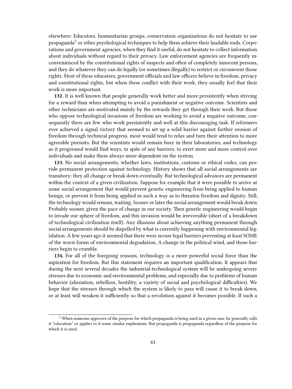elsewhere: Educators, humanitarian groups, conservation organizations do not hesitate to use propaganda<sup>2</sup> or other psychological techniques to help them achieve their laudable ends. Corporations and government agencies, when they find it useful, do not hesitate to collect information about individuals without regard to their privacy. Law enforcement agencies are frequently inconvenienced by the constitutional rights of suspects and often of completely innocent persons, and they do whatever they can do legally (or sometimes illegally) to restrict or circumvent those rights. Most of these educators, government officials and law officers believe in freedom, privacy and constitutional rights, but when these conflict with their work, they usually feel that their work is more important.

**132.** It is well known that people generally work better and more persistently when striving for a reward than when attempting to avoid a punishment or negative outcome. Scientists and other technicians are motivated mainly by the rewards they get through their work. But those who oppose technological invasions of freedom are working to avoid a negative outcome, consequently there are few who work persistently and well at this discouraging task. If reformers ever achieved a signal victory that seemed to set up a solid barrier against further erosion of freedom through technical progress, most would tend to relax and turn their attention to more agreeable pursuits. But the scientists would remain busy in their laboratories, and technology as it progressed would find ways, in spite of any barriers, to exert more and more control over individuals and make them always more dependent on the system.

**133.** No social arrangements, whether laws, institutions, customs or ethical codes, can provide permanent protection against technology. History shows that all social arrangements are transitory; they all change or break down eventually. But technological advances are permanent within the context of a given civilization. Suppose for example that it were possible to arrive at some social arrangement that would prevent genetic engineering from being applied to human beings, or prevent it from being applied in such a way as to threaten freedom and dignity. Still, the technology would remain, waiting. Sooner or later the social arrangement would break down. Probably sooner, given the pace of change in our society. Then genetic engineering would begin to invade our sphere of freedom, and this invasion would be irreversible (short of a breakdown of technological civilization itself). Any illusions about achieving anything permanent through social arrangements should be dispelled by what is currently happening with environmental legislation. A few years ago it seemed that there were secure legal barriers preventing at least SOME of the worst forms of environmental degradation. A change in the political wind, and those barriers begin to crumble.

**134.** For all of the foregoing reasons, technology is a more powerful social force than the aspiration for freedom. But this statement requires an important qualification. It appears that during the next several decades the industrial-technological system will be undergoing severe stresses due to economic and environmental problems, and especially due to problems of human behavior (alienation, rebellion, hostility, a variety of social and psychological difficulties). We hope that the stresses through which the system is likely to pass will cause it to break down, or at least will weaken it sufficiently so that a revolution against it becomes possible. If such a

<sup>&</sup>lt;sup>2</sup> When someone approves of the purpose for which propaganda is being used in a given case, he generally calls it "education" or applies to it some similar euphemism. But propaganda is propaganda regardless of the purpose for which it is used.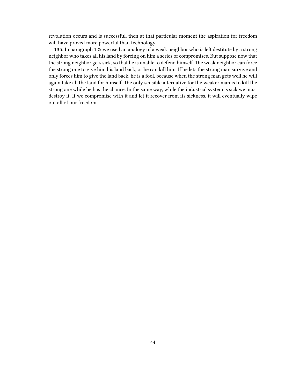revolution occurs and is successful, then at that particular moment the aspiration for freedom will have proved more powerful than technology.

**135.** In paragraph 125 we used an analogy of a weak neighbor who is left destitute by a strong neighbor who takes all his land by forcing on him a series of compromises. But suppose now that the strong neighbor gets sick, so that he is unable to defend himself. The weak neighbor can force the strong one to give him his land back, or he can kill him. If he lets the strong man survive and only forces him to give the land back, he is a fool, because when the strong man gets well he will again take all the land for himself. The only sensible alternative for the weaker man is to kill the strong one while he has the chance. In the same way, while the industrial system is sick we must destroy it. If we compromise with it and let it recover from its sickness, it will eventually wipe out all of our freedom.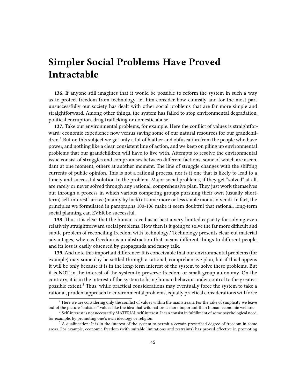# **Simpler Social Problems Have Proved Intractable**

**136.** If anyone still imagines that it would be possible to reform the system in such a way as to protect freedom from technology, let him consider how clumsily and for the most part unsuccessfully our society has dealt with other social problems that are far more simple and straightforward. Among other things, the system has failed to stop environmental degradation, political corruption, drug trafficking or domestic abuse.

**137.** Take our environmental problems, for example. Here the conflict of values is straightforward: economic expedience now versus saving some of our natural resources for our grandchil- $\gamma$  dren.<sup>1</sup> But on this subject we get only a lot of blather and obfuscation from the people who have power, and nothing like a clear, consistent line of action, and we keep on piling up environmental problems that our grandchildren will have to live with. Attempts to resolve the environmental issue consist of struggles and compromises between different factions, some of which are ascendant at one moment, others at another moment. The line of struggle changes with the shifting currents of public opinion. This is not a rational process, nor is it one that is likely to lead to a timely and successful solution to the problem. Major social problems, if they get "solved" at all, are rarely or never solved through any rational, comprehensive plan. They just work themselves out through a process in which various competing groups pursuing their own (usually shortterm) self-interest $^2$  arrive (mainly by luck) at some more or less stable modus vivendi. In fact, the principles we formulated in paragraphs 100-106 make it seem doubtful that rational, long-term social planning can EVER be successful.

**138.** Thus it is clear that the human race has at best a very limited capacity for solving even relatively straightforward social problems. How then is it going to solve the far more difficult and subtle problem of reconciling freedom with technology? Technology presents clear-cut material advantages, whereas freedom is an abstraction that means different things to different people, and its loss is easily obscured by propaganda and fancy talk.

**139.** And note this important difference: It is conceivable that our environmental problems (for example) may some day be settled through a rational, comprehensive plan, but if this happens it will be only because it is in the long-term interest of the system to solve these problems. But it is NOT in the interest of the system to preserve freedom or small-group autonomy. On the contrary, it is in the interest of the system to bring human behavior under control to the greatest possible extent.<sup>3</sup> Thus, while practical considerations may eventually force the system to take a rational, prudent approach to environmental problems, equally practical considerations will force

 $<sup>1</sup>$  Here we are considering only the conflict of values within the mainstream. For the sake of simplicity we leave</sup> out of the picture "outsider" values like the idea that wild nature is more important than human economic welfare.

<sup>&</sup>lt;sup>2</sup> Self-interest is not necessarily MATERIAL self-interest. It can consist in fulfillment of some psychological need, for example, by promoting one's own ideology or religion.

 $3$  A qualification: It is in the interest of the system to permit a certain prescribed degree of freedom in some areas. For example, economic freedom (with suitable limitations and restraints) has proved effective in promoting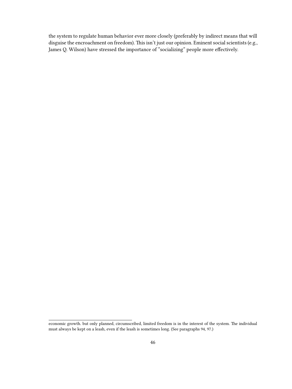the system to regulate human behavior ever more closely (preferably by indirect means that will disguise the encroachment on freedom). This isn't just our opinion. Eminent social scientists (e.g., James Q. Wilson) have stressed the importance of "socializing" people more effectively.

economic growth. but only planned, circumscribed, limited freedom is in the interest of the system. The individual must always be kept on a leash, even if the leash is sometimes long. (See paragraphs 94, 97.)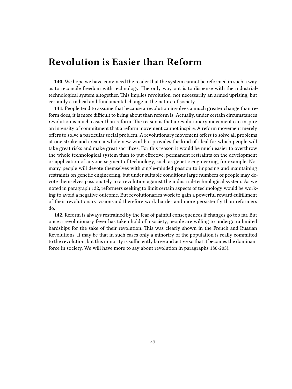#### **Revolution is Easier than Reform**

**140.** We hope we have convinced the reader that the system cannot be reformed in such a way as to reconcile freedom with technology. The only way out is to dispense with the industrialtechnological system altogether. This implies revolution, not necessarily an armed uprising, but certainly a radical and fundamental change in the nature of society.

**141.** People tend to assume that because a revolution involves a much greater change than reform does, it is more difficult to bring about than reform is. Actually, under certain circumstances revolution is much easier than reform. The reason is that a revolutionary movement can inspire an intensity of commitment that a reform movement cannot inspire. A reform movement merely offers to solve a particular social problem. A revolutionary movement offers to solve all problems at one stroke and create a whole new world; it provides the kind of ideal for which people will take great risks and make great sacrifices. For this reason it would be much easier to overthrow the whole technological system than to put effective, permanent restraints on the development or application of anyone segment of technology, such as genetic engineering, for example. Not many people will devote themselves with single-minded passion to imposing and maintaining restraints on genetic engineering, but under suitable conditions large numbers of people may devote themselves passionately to a revolution against the industrial-technological system. As we noted in paragraph 132, reformers seeking to limit certain aspects of technology would be working to avoid a negative outcome. But revolutionaries work to gain a powerful reward-fulfillment of their revolutionary vision-and therefore work harder and more persistently than reformers do.

**142.** Reform is always restrained by the fear of painful consequences if changes go too far. But once a revolutionary fever has taken hold of a society, people are willing to undergo unlimited hardships for the sake of their revolution. This was clearly shown in the French and Russian Revolutions. It may be that in such cases only a minoriry of the population is really committed to the revolution, but this minority is sufficiently large and active so that it becomes the dominant force in society. We will have more to say about revolution in paragraphs 180-205).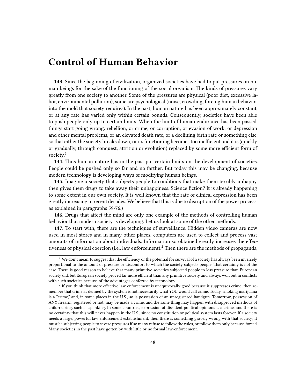### **Control of Human Behavior**

**143.** Since the beginning of civilization, organized societies have had to put pressures on human beings for the sake of the functioning of the social organism. The kinds of pressures vary greatly from one society to another. Some of the pressures are physical (poor diet, excessive labor, environmental pollution), some are psychological (noise, crowding, forcing human behavior into the mold that society requires). In the past, human nature has been approximately constant, or at any rate has varied only within certain bounds. Consequently, societies have been able to push people only up to certain limits. When the limit of human endurance has been passed, things start going wrong: rebellion, or crime, or corruption, or evasion of work, or depression and other mental problems, or an elevated death rate, or a declining birth rate or something else, so that either the society breaks down, or its functioning becomes too inefficient and it is (quickly or gradually, through conquest, attrition or evolution) replaced by some more efficient form of society.<sup>1</sup>

**144.** Thus human nature has in the past put certain limits on the development of societies. People could be pushed only so far and no farther. But today this may be changing, because modern technology is developing ways of modifying human beings.

**145.** Imagine a society that subjects people to conditions that make them terribly unhappy, then gives them drugs to take away their unhappiness. Science fiction? It is already happening to some extent in our own society. It is well known that the rate of clinical depression has been greatly increasing in recent decades. We believe that this is due to disruption of the power process, as explained in paragraphs 59-76.)

**146.** Drugs that affect the mind are only one example of the methods of controlling human behavior that modern society is developing. Let us look at some of the other methods.

**147.** To start with, there are the techniques of surveillance. Hidden video cameras are now used in most stores and in many other places, computers are used to collect and process vast amounts of information about individuals. Information so obtained greatly increases the effectiveness of physical coercion (i.e., law enforcement).<sup>2</sup> Then there are the methods of propaganda,

 $1$  We don't mean 10 suggest that the efficiency or the potential for survival of a society has always been inversely proportional to the amount of pressure or discomfort to which the society subjects people. That certainly is not the case. There is good reason to believe that many primitive societies subjected people to less pressure than European society did, but European society proved far more efficient than any primitive society and always won out in conflicts with such societies because of the advantages conferred by technology.

<sup>&</sup>lt;sup>2</sup> If you think that more effective law enforcement is unequivocally good because it suppresses crime, then remember that crime as defined by the system is not necessarily what YOU would call crime. Today, smoking marijuana is a "crime," and, in some places in the U.S., so is possession of an unregistered handgun. Tomorrow, possession of ANY firearm, registered or not, may be made a crime, and the same thing may happen with disapproved methods of child-rearing, such as spanking. In some countries, expression of dissident political opinions is a crime, and there is no certainty that this will never happen in the U.S., since no constitution or political system lasts forever. If a society needs a large, powerful law enforcement establishment, then there is something gravely wrong with that society; it must be subjecting people to severe pressures if so many refuse to follow the rules, or follow them only because forced. Many societies in the past have gotten by with little or no formal law-enforcement.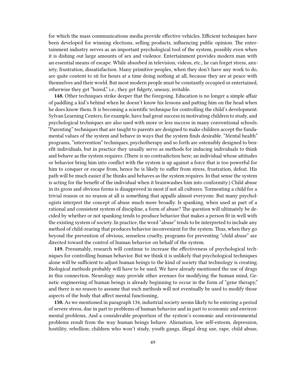for which the mass communications media provide effective vehicles. Efficient techniques have been developed for winning elections, selling products, influencing public opinion. The entertainment industry serves as an important psychological tool of the system, possibly even when it is dishing out large amounts of sex and violence. Entertainment provides modern man with an essential means of escape. While absorbed in television, videos, etc., he can forget stress, anxiety, frustration, dissatisfaction. Many primitive peoples, when they don't have any work to do, are quite content to sit for hours at a time doing nothing at all, because they are at peace with themselves and their world. But most modern people must be constantly occupied or entertained, otherwise they get "bored," i.e., they get fidgety, uneasy, irritable.

**148.** Other techniques strike deeper that the foregoing. Education is no longer a simple affair of paddling a kid's behind when he doesn't know his lessons and patting him on the head when he does know them. It is becoming a scientific technique for controlling the child's development. Sylvan Learning Centers, for example, have had great success in motivating children to study, and psychological techniques are also used with more or less success in many conventional schools. "Parenting" techniques that are taught to parents are designed to make children accept the fundamental values of the system and behave in ways that the system finds desirable. "Mental health" programs, "intervention" techniques, psychotherapy and so forth are ostensibly designed to benefit individuals, but in practice they usually serve as methods for inducing individuals to think and behave as the system requires. (There is no contradiction here; an individual whose attitudes or behavior bring him into conflict with the system is up against a force that is too powerful for him to conquer or escape from, hence he is likely to suffer from stress, frustration, defeat. His path will be much easier if he thinks and behaves as the system requires. In that sense the system is acting for the benefit of the individual when it brainwashes him into conformity.) Child abuse in its gross and obvious forms is disapproved in most if not all cultures. Tormenting a child for a trivial reason or no reason at all is something that appalls almost everyone. But many psychologists interpret the concept of abuse much more broadly. Is spanking, when used as part of a rational and consistent system of discipline, a form of abuse? The question will ultimately be decided by whether or not spanking tends to produce behavior that makes a person fit in well with the existing system of society. In practice, the word "abuse" tends to be interpreted to include any method of child-rearing that produces behavior inconvenient for the system. Thus, when they go beyond the prevention of obvious, senseless cruelty, programs for preventing "child abuse" are directed toward the control of human behavior on behalf of the system.

**149.** Presumably, research will continue to increase the effectiveness of psychological techniques for controlling human behavior. But we think it is unlikely that psychological techniques alone will be sufficient to adjust human beings to the kind of society that technology is creating. Biological methods probably will have to be used. We have already mentioned the use of drugs in this connection. Neurology may provide other avenues for modifying the human mind, Genetic engineering of human beings is already beginning to occur in the form of "gene therapy," and there is no reason to assume that such methods will not eventually be used to modify those aspects of the body that affect mental functioning,

**150.** As we mentioned in paragraph 134, industrial society seems likely to be entering a period of severe stress, due in part to problems of human behavior and in part to economic and environmental problems, And a considerable proportion of the system's economic and environmental problems result from the way human beings behave. Alienation, low self-esteem, depression, hostility, rebellion; children who won't study, youth gangs, illegal drug use, rape, child abuse,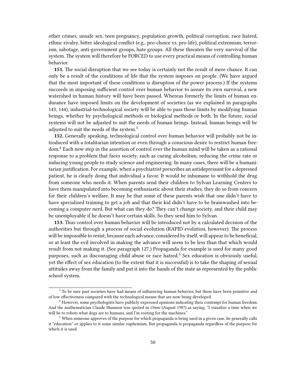other crimes, unsafe sex, teen pregnancy, population growth, political corruption, race hatred, ethnic rivalry, bitter ideological conflict (e.g., pro-choice vs. pro-life), political extremism, terrorism, sabotage, anti-government groups, hate groups. All these threaten the very survival of the system. The system will therefore be FORCED to use every practical means of controlling human behavior.

**151.** The social disruption that we see today is certainly not the result of mere chance. It can only be a result of the conditions of life that the system imposes on people. (We have argued that the most important of these conditions is disruption of the power process.) If the systems succeeds in imposing sufficient control over human behavior to assure its own survival, a new watershed in human history will have been passed. Whereas formerly the limits of human endurance have imposed limits on the development of societies (as we explained in paragraphs 143, 144), industrial-technological society will be able to pass those limits by modifying human beings, whether by psychological methods or biological methods or both. In the future, social systems will not be adjusted to suit the needs of human beings. Instead, human beings will be adjusted to suit the needs of the system.<sup>3</sup>

**152.** Generally speaking, technological control over human behavior will probably not be introduced with a totalitarian intention or even through a conscious desire to restrict human freedom.<sup>4</sup> Each new step in the assertion of control over the human mind will be taken as a rational response to a problem that faces society, such as curing alcoholism, reducing the crime rate or inducing young people to study science and engineering. In many cases, there will be a humanitarian justification. For example, when a psychiatrist prescribes an antidepressant for a depressed patient, he is clearly doing that individual a favor. It would be inhumane to withhold the drug from someone who needs it. When parents send their children to Sylvan Learning Centers to have them manipulated into becoming enthusiastic about their studies, they do so from concern for their children's welfare. It may be that some of these parents wish that one didn't have to have specialized training to get a job and that their kid didn't have to be brainwashed into becoming a computer nerd. But what can they do? They can't change society, and their child may be unemployable if he doesn't have certain skills. So they send him to Sylvan.

**153.** Thus control over human behavior will be introduced not by a calculated decision of the authorities but through a process of social evolution (RAPID evolution, however). The process will be impossible to resist, because each advance, considered by itself, will appear to be beneficial, or at least the evil involved in making the advance will seem to be less than that which would result from not making it. (See paragraph 127.) Propaganda for example is used for many good purposes, such as discouraging child abuse or race hatred.<sup>5</sup> Sex education is obviously useful, yet the effect of sex education (to the extent that it is successful) is to take the shaping of sexual attitudes away from the family and put it into the hands of the state as represented by the public school system.

<sup>&</sup>lt;sup>3</sup> To be sure past societies have had means of influencing human behavior, but these have been primitive and of low effectiveness compared with the technological means that are now being developed.

<sup>4</sup> However, some psychologists have publicly expressed opinions indicating their contempt for human freedom. And the mathematician Claude Shannon was quoted in *Omni* (August 1987) as saying, "I visualize a time when we will be to robots what dogs are to humans, and I'm rooting for the machines."

<sup>&</sup>lt;sup>5</sup> When someone approves of the purpose for which propaganda is being used in a given case, he generally calls it "education" or applies to it some similar euphemism. But propaganda is propaganda regardless of the purpose for which it is used.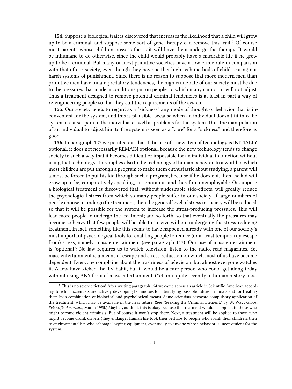**154.** Suppose a biological trait is discovered that increases the likelihood that a child will grow up to be a criminal, and suppose some sort of gene therapy can remove this trait.<sup>6</sup> Of course most parents whose children possess the trait will have them undergo the therapy. It would be inhumane to do otherwise, since the child would probably have a miserable life if he grew up to be a criminal. But many or most primitive societies have a low crime rate in comparison with that of our society, even though they have neither high-tech methods of child-rearing nor harsh systems of punishment. Since there is no reason to suppose that more modern men than primitive men have innate predatory tendencies, the high crime rate of our society must be due to the pressures that modern conditions put on people, to which many cannot or will not adjust. Thus a treatment designed to remove potential criminal tendencies is at least in part a way of re-engineering people so that they suit the requirements of the system.

**155.** Our society tends to regard as a "sickness" any mode of thought or behavior that is inconvenient for the system, and this is plausible, because when an individual doesn't fit into the system it causes pain to the individual as well as problems for the system. Thus the manipulation of an individual to adjust him to the system is seen as a "cure" for a "sickness" and therefore as good.

**156.** In paragraph 127 we pointed out that if the use of a new item of technology is INITIALLY optional, it does not necessarily REMAIN optional, because the new technology tends to change society in such a way that it becomes difficult or impossible for an individual to function without using that technology. This applies also to the technology of human behavior. In a world in which most children are put through a program to make them enthusiastic about studying, a parent will almost be forced to put his kid through such a program, because if he does not, then the kid will grow up to be, comparatively speaking, an ignoramus and therefore unemployable. Or suppose a biological treatment is discovered that, without undesirable side-effects, will greatly reduce the psychological stress from which so many people suffer in our society. If large numbers of people choose to undergo the treatment, then the general level of stress in society will be reduced, so that it will be possible for the system to increase the stress-producing pressures. This will lead more people to undergo the treatment; and so forth, so that eventually the pressures may become so heavy that few people will be able to survive without undergoing the stress-reducing treatment. In fact, something like this seems to have happened already with one of our society's most important psychological tools for enabling people to reduce (or at least temporarily escape from) stress, namely, mass entertainment (see paragraph 147). Our use of mass entertainment is "optional": No law requires us to watch television, listen to the radio, read magazines. Yet mass entertainment is a means of escape and stress-reduction on which most of us have become dependent. Everyone complains about the trashiness of television, but almost everyone watches it. A few have kicked the TV habit, but it would be a rare person who could get along today without using ANY form of mass entertainment. (Yet until quite recently in human history most

 $^6$  This is no science fiction! After writing paragraph 154 we came across an article in Scientific American according to which scientists are actively developing techniques for identifying possible future criminals and for treating them by a combination of biological and psychological means. Some scientists advocate compulsory application of the treatment, which may be available in the near future. (See "Seeking the Criminal Element," by W. Wayt Gibbs, *Scientific American*, March 1995.) Maybe you think this is okay because the treatment would be applied to those who might become violent criminals. But of course it won't stop there. Next, a treatment will be applied to those who might become drunk drivers (they endanger human life too), then perhaps to people who spank their children, then to environmentalists who sabotage logging equipment, eventually to anyone whose behavior is inconvenient for the system.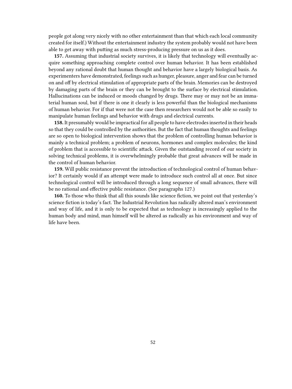people got along very nicely with no other entertainment than that which each local community created for itself.) Without the entertainment industry the system probably would not have been able to get away with putting as much stress-producing pressure on us as it does.

**157.** Assuming that industrial society survives, it is likely that technology will eventually acquire something approaching complete control over human behavior. It has been established beyond any rational doubt that human thought and behavior have a largely biological basis. As experimenters have demonstrated, feelings such as hunger, pleasure, anger and fear can be turned on and off by electrical stimulation of appropriate parts of the brain. Memories can be destroyed by damaging parts of the brain or they can be brought to the surface by electrical stimulation. Hallucinations can be induced or moods changed by drugs. There may or may not be an immaterial human soul, but if there is one it clearly is less powerful than the biological mechanisms of human behavior. For if that were not the case then researchers would not be able so easily to manipulate human feelings and behavior with drugs and electrical currents.

**158.** It presumably would be impractical for all people to have electrodes inserted in their heads so that they could be controlled by the authorities. But the fact that human thoughts and feelings are so open to biological intervention shows that the problem of controlling human behavior is mainly a technical problem; a problem of neurons, hormones and complex molecules; the kind of problem that is accessible to scientific attack. Given the outstanding record of our society in solving technical problems, it is overwhelmingly probable that great advances will be made in the control of human behavior.

**159.** Will public resistance prevent the introduction of technological control of human behavior? It certainly would if an attempt were made to introduce such control all at once. But since technological control will be introduced through a long sequence of small advances, there will be no rational and effective public resistance. (See paragraphs 127.)

**160.** To those who think that all this sounds like science fiction, we point out that yesterday's science fiction is today's fact. The Industrial Revolution has radically altered man's environment and way of life, and it is only to be expected that as technology is increasingly applied to the human body and mind, man himself will be altered as radically as his environment and way of life have been.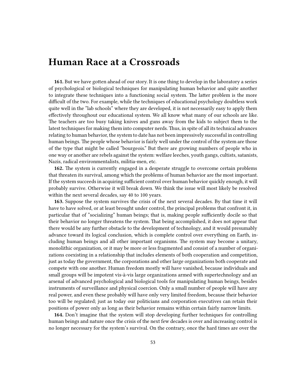#### **Human Race at a Crossroads**

**161.** But we have gotten ahead of our story. It is one thing to develop in the laboratory a series of psychological or biological techniques for manipulating human behavior and quite another to integrate these techniques into a functioning social system. The latter problem is the more difficult of the two. For example, while the techniques of educational psychology doubtless work quite well in the "lab schools" where they are developed, it is not necessarily easy to apply them effectively throughout our educational system. We all know what many of our schools are like. The teachers are too busy taking knives and guns away from the kids to subject them to the latest techniques for making them into computer nerds. Thus, in spite of all its technical advances relating to human behavior, the system to date has not been impressively successful in controlling human beings. The people whose behavior is fairly well under the control of the system are those of the type that might be called "bourgeois." But there are growing numbers of people who in one way or another are rebels against the system: welfare leeches, youth gangs, cultists, satanists, Nazis, radical environmentalists, militia-men, etc.

**162.** The system is currently engaged in a desperate struggle to overcome certain problems that threaten its survival, among which the problems of human behavior are the most important. If the system succeeds in acquiring sufficient control over human behavior quickly enough, it will probably survive. Otherwise it will break down. We think the issue will most likely be resolved within the next several decades, say 40 to 100 years.

**163.** Suppose the system survives the crisis of the next several decades. By that time it will have to have solved, or at least brought under control, the principal problems that confront it, in particular that of "socializing" human beings; that is, making people sufficiently docile so that their behavior no longer threatens the system. That being accomplished, it does not appear that there would be any further obstacle to the development of technology, and it would presumably advance toward its logical conclusion, which is complete control over everything on Earth, including human beings and all other important organisms. The system may become a unitary, monolithic organization, or it may be more or less fragmented and consist of a number of organizations coexisting in a relationship that includes elements of both cooperation and competition, just as today the government, the corporations and other large organizations both cooperate and compete with one another. Human freedom mostly will have vanished, because individuals and small groups will be impotent vis-à-vis large organizations armed with supertechnology and an arsenal of advanced psychological and biological tools for manipulating human beings, besides instruments of surveillance and physical coercion. Only a small number of people will have any real power, and even these probably will have only very limited freedom, because their behavior too will be regulated; just as today our politicians and corporation executives can retain their positions of power only as long as their behavior remains within certain fairly narrow limits.

**164.** Don't imagine that the system will stop developing further techniques for controlling human beings and nature once the crisis of the next few decades is over and increasing control is no longer necessary for the system's survival. On the contrary, once the hard times are over the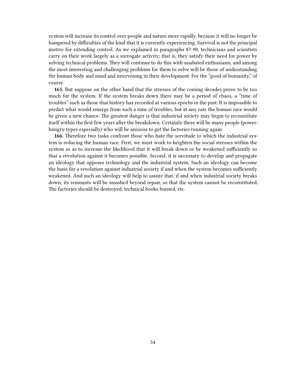system will increase its control over people and nature more rapidly, because it will no longer be hampered by difficulties of the kind that it is currently experiencing. Survival is not the principal motive for extending control. As we explained in paragraphs 87-90, technicians and scientists carry on their work largely as a surrogate activity; that is, they satisfy their need for power by solving technical problems. They will continue to do this with unabated enthusiasm, and among the most interesting and challenging problems for them to solve will be those of understanding the human body and mind and intervening in their development. For the "good of humanity," of course.

**165.** But suppose on the other hand that the stresses of the coming decades prove to be too much for the system. If the system breaks down there may be a period of chaos, a "time of troubles" such as those that history has recorded at various epochs in the past. It is impossible to predict what would emerge from such a time of troubles, but at any rate the human race would be given a new chance. The greatest danger is that industrial society may begin to reconstitute itself within the first few years after the breakdown. Certainly there will be many people (powerhungry types especially) who will be anxious to get the factories running again.

**166.** Therefore two tasks confront those who hate the servitude to which the industrial system is reducing the human race. First, we must work to heighten the social stresses within the system so as to increase the likelihood that it will break down or be weakened sufficiently so that a revolution against it becomes possible. Second, it is necessary to develop and propagate an ideology that opposes technology and the industrial system. Such an ideology can become the basis for a revolution against industrial society if and when the system becomes sufficiently weakened. And such an ideology will help to assure that, if and when industrial society breaks down, its remnants will be smashed beyond repair, so that the system cannot be reconstituted. The factories should be destroyed, technical books burned, etc.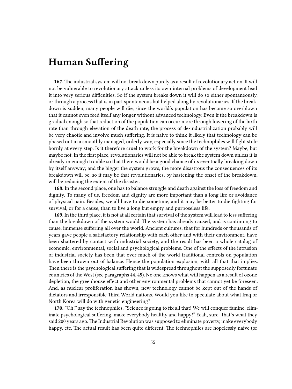### **Human Suffering**

**167.** The industrial system will not break down purely as a result of revolutionary action. It will not be vulnerable to revolutionary attack unless its own internal problems of development lead it into very serious difficulties. So if the system breaks down it will do so either spontaneously, or through a process that is in part spontaneous but helped along by revolutionaries. If the breakdown is sudden, many people will die, since the world's population has become so overblown that it cannot even feed itself any longer without advanced technology. Even if the breakdown is gradual enough so that reduction of the population can occur more through lowering of the birth rate than through elevation of the death rate, the process of de-industrialization probably will be very chaotic and involve much suffering. It is naive to think it likely that technology can be phased out in a smoothly managed, orderly way, especially since the technophiles will fight stubbornly at every step. Is it therefore cruel to work for the breakdown of the system? Maybe, but maybe not. In the first place, revolutionaries will not be able to break the system down unless it is already in enough trouble so that there would be a good chance of its eventually breaking down by itself anyway; and the bigger the system grows, the more disastrous the consequences of its breakdown will be; so it may be that revolutionaries, by hastening the onset of the breakdown, will be reducing the extent of the disaster.

**168.** In the second place, one has to balance struggle and death against the loss of freedom and dignity. To many of us, freedom and dignity are more important than a long life or avoidance of physical pain. Besides, we all have to die sometime, and it may be better to die fighting for survival, or for a cause, than to live a long but empty and purposeless life.

**169.** In the third place, it is not at all certain that survival of the system will lead to less suffering than the breakdown of the system would. The system has already caused, and is continuing to cause, immense suffering all over the world. Ancient cultures, that for hundreds or thousands of years gave people a satisfactory relationship with each other and with their environment, have been shattered by contact with industrial society, and the result has been a whole catalog of economic, environmental, social and psychological problems. One of the effects of the intrusion of industrial society has been that over much of the world traditional controls on population have been thrown out of balance. Hence the population explosion, with all that that implies. Then there is the psychological suffering that is widespread throughout the supposedly fortunate countries of the West (see paragraphs 44, 45). No one knows what will happen as a result of ozone depletion, the greenhouse effect and other environmental problems that cannot yet be foreseen. And, as nuclear proliferation has shown, new technology cannot be kept out of the hands of dictators and irresponsible Third World nations. Would you like to speculate about what Iraq or North Korea will do with genetic engineering?

**170.** "Oh!" say the technophiles, "Science is going to fix all that! We will conquer famine, eliminate psychological suffering, make everybody healthy and happy!" Yeah, sure. That's what they said 200 years ago. The Industrial Revolution was supposed to eliminate poverty, make everybody happy, etc. The actual result has been quite different. The technophiles are hopelessly naive (or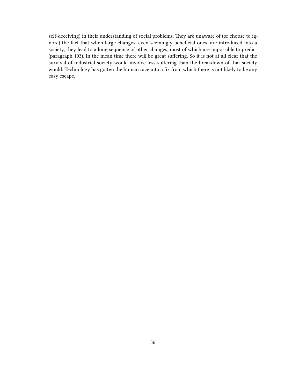self-deceiving) in their understanding of social problems. They are unaware of (or choose to ignore) the fact that when large changes, even seemingly beneficial ones, are introduced into a society, they lead to a long sequence of other changes, most of which are impossible to predict (paragraph 103). In the mean time there will be great suffering. So it is not at all clear that the survival of industrial society would involve less suffering than the breakdown of that society would. Technology has gotten the human race into a fix from which there is not likely to be any easy escape.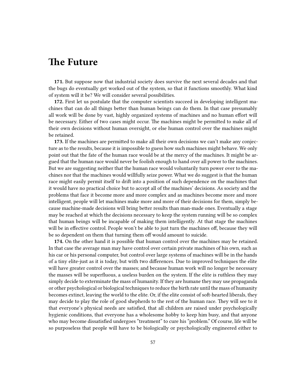#### **The Future**

**171.** But suppose now that industrial society does survive the next several decades and that the bugs do eventually get worked out of the system, so that it functions smoothly. What kind of system will it be? We will consider several possibilities.

**172.** First let us postulate that the computer scientists succeed in developing intelligent machines that can do all things better than human beings can do them. In that case presumably all work will be done by vast, highly organized systems of machines and no human effort will be necessary. Either of two cases might occur. The machines might be permitted to make all of their own decisions without human oversight, or else human control over the machines might be retained.

**173.** If the machines are permitted to make all their own decisions we can't make any conjecture as to the results, because it is impossible to guess how such machines might behave. We only point out that the fate of the human race would be at the mercy of the machines. It might be argued that the human race would never be foolish enough to hand over all power to the machines. But we are suggesting neither that the human race would voluntarily turn power over to the machines nor that the machines would willfully seize power. What we do suggest is that the human race might easily permit itself to drift into a position of such dependence on the machines that it would have no practical choice but to accept all of the machines' decisions. As society and the problems that face it become more and more complex and as machines become more and more intelligent, people will let machines make more and more of their decisions for them, simply because machine-made decisions will bring better results than man-made ones. Eventually a stage may be reached at which the decisions necessary to keep the system running will be so complex that human beings will be incapable of making them intelligently. At that stage the machines will be in effective control. People won't be able to just turn the machines off, because they will be so dependent on them that turning them off would amount to suicide.

**174.** On the other hand it is possible that human control over the machines may be retained. In that case the average man may have control over certain private machines of his own, such as his car or his personal computer, but control over large systems of machines will be in the hands of a tiny elite-just as it is today, but with two differences. Due to improved techniques the elite will have greater control over the masses; and because human work will no longer be necessary the masses will be superfluous, a useless burden on the system. If the elite is ruthless they may simply decide to exterminate the mass of humanity. If they are humane they may use propaganda or other psychological or biological techniques to reduce the birth rate until the mass of humanity becomes extinct, leaving the world to the elite. Or, if the elite consist of soft-hearted liberals, they may decide to play the role of good shepherds to the rest of the human race. They will see to it that everyone's physical needs are satisfied, that all children are raised under psychologically hygienic conditions, that everyone has a wholesome hobby to keep him busy, and that anyone who may become dissatisfied undergoes "treatment" to cure his "problem." Of course, life will be so purposeless that people will have to be biologically or psychologically engineered either to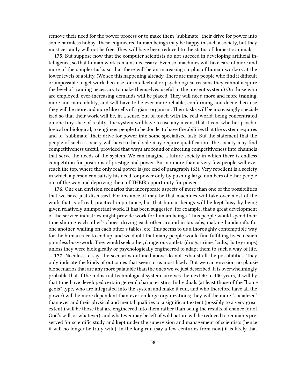remove their need for the power process or to make them "sublimate" their drive for power into some harmless hobby. These engineered human beings may be happy in such a society, but they most certainly will not be free. They will have been reduced to the status of domestic animals.

**175.** But suppose now that the computer scientists do not succeed in developing artificial intelligence, so that human work remains necessary. Even so, machines will take care of more and more of the simpler tasks so that there will be an increasing surplus of human workers at the lower levels of ability. (We see this happening already. There are many people who find it difficult or impossible to get work, because for intellectual or psychological reasons they cannot acquire the level of training necessary to make themselves useful in the present system.) On those who are employed, ever-increasing demands will be placed: They will need more and more training, more and more ability, and will have to be ever more reliable, conforming and docile, because they will be more and more like cells of a giant organism. Their tasks will be increasingly specialized so that their work will be, in a sense, out of touch with the real world, being concentrated on one tiny slice of reality. The system will have to use any means that it can, whether psychological or biological, to engineer people to be docile, to have the abilities that the system requires and to "sublimate" their drive for power into some specialized task. But the statement that the people of such a society will have to be docile may require qualification. The society may find competitiveness useful, provided that ways are found of directing competitiveness into channels that serve the needs of the system. We can imagine a future society in which there is endless competition for positions of prestige and power. But no more than a very few people will ever reach the top, where the only real power is (see end of paragraph 163). Very repellent is a society in which a person can satisfy his need for power only by pushing large numbers of other people out of the way and depriving them of THEIR opportunity for power.

**176.** One can envision scenarios that incorporate aspects of more than one of the possibilities that we have just discussed. For instance, it may be that machines will take over most of the work that is of real, practical importance, but that human beings will be kept busy by being given relatively unimportant work. It has been suggested, for example, that a great development of the service industries might provide work for human beings. Thus people would spend their time shining each other's shoes, driving each other around in taxicabs, making handicrafts for one another, waiting on each other's tables, etc. This seems to us a thoroughly contemptible way for the human race to end up, and we doubt that many people would find fulfilling lives in such pointless busy-work. They would seek other, dangerous outlets (drugs, crime, "cults," hate groups) unless they were biologically or psychologically engineered to adapt them to such a way of life.

**177.** Needless to say, the scenarios outlined above do not exhaust all the possibilities. They only indicate the kinds of outcomes that seem to us most likely. But we can envision no plausible scenarios that are any more palatable than the ones we've just described. It is overwhelmingly probable that if the industrial-technological system survives the next 40 to 100 years, it will by that time have developed certain general characteristics: Individuals (at least those of the "bourgeois" type, who are integrated into the system and make it run, and who therefore have all the power) will be more dependent than ever on large organizations; they will be more "socialized" than ever and their physical and mental qualities to a significant extent (possibly to a very great extent ) will be those that are engineered into them rather than being the results of chance (or of God's will, or whatever); and whatever may be left of wild nature will be reduced to remnants preserved for scientific study and kept under the supervision and management of scientists (hence it will no longer be truly wild). In the long run (say a few centuries from now) it is likely that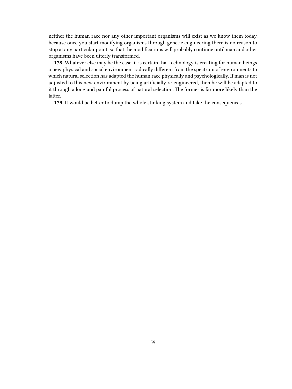neither the human race nor any other important organisms will exist as we know them today, because once you start modifying organisms through genetic engineering there is no reason to stop at any particular point, so that the modifications will probably continue until man and other organisms have been utterly transformed.

**178.** Whatever else may be the case, it is certain that technology is creating for human beings a new physical and social environment radically different from the spectrum of environments to which natural selection has adapted the human race physically and psychologically. If man is not adjusted to this new environment by being artificially re-engineered, then he will be adapted to it through a long and painful process of natural selection. The former is far more likely than the latter.

**179.** It would be better to dump the whole stinking system and take the consequences.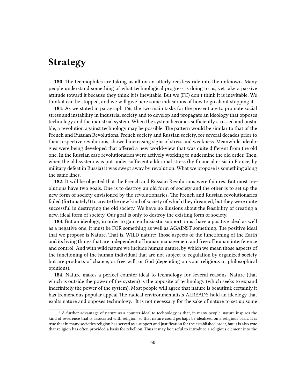### **Strategy**

**180.** The technophiles are taking us all on an utterly reckless ride into the unknown. Many people understand something of what technological progress is doing to us, yet take a passive attitude toward it because they think it is inevitable. But we (FC) don't think it is inevitable. We think it can be stopped, and we will give here some indications of how to go about stopping it.

**181.** As we stated in paragraph 166, the two main tasks for the present are to promote social stress and instability in industrial society and to develop and propagate an ideology that opposes technology and the industrial system. When the system becomes sufficiently stressed and unstable, a revolution against technology may be possible. The pattern would be similar to that of the French and Russian Revolutions. French society and Russian society, for several decades prior to their respective revolutions, showed increasing signs of stress and weakness. Meanwhile, ideologies were being developed that offered a new world-view that was quite different from the old one. In the Russian case revolutionaries were actively working to undermine the old order. Then, when the old system was put under sufficient additional stress (by financial crisis in France, by military defeat in Russia) it was swept away by revolution. What we propose is something along the same lines.

**182.** It will be objected that the French and Russian Revolutions were failures. But most revolutions have two goals. One is to destroy an old form of society and the other is to set up the new form of society envisioned by the revolutionaries. The French and Russian revolutionaries failed (fortunately!) to create the new kind of society of which they dreamed, but they were quite successful in destroying the old society. We have no illusions about the feasibility of creating a new, ideal form of society. Our goal is only to destroy the existing form of society.

**183.** But an ideology, in order to gain enthusiastic support, must have a positive ideal as well as a negative one; it must be FOR something as well as AGAINST something. The positive ideal that we propose is Nature. That is, WILD nature: Those aspects of the functioning of the Earth and its living things that are independent of human management and free of human interference and control. And with wild nature we include human nature, by which we mean those aspects of the functioning of the human individual that are not subject to regulation by organized society but are products of chance, or free will, or God (depending on your religious or philosophical opinions).

**184.** Nature makes a perfect counter-ideal to technology for several reasons. Nature (that which is outside the power of the system) is the opposite of technology (which seeks to expand indefinitely the power of the system). Most people will agree that nature is beautiful; certainly it has tremendous popular appeal The radical environmentalists ALREADY hold an ideology that exalts nature and opposes technology.<sup>1</sup> It is not necessary for the sake of nature to set up some

 $1 A$  further advantage of nature as a counter-ideal to technology is that, in many people, nature inspires the kind of reverence that is associated with religion, so that nature could perhaps be idealized on a religious basis. It is true that in many societies religion has served as a support and justification for the established order, but it is also true that religion has often provided a basis for rebellion. Thus it may be useful to introduce a religious element into the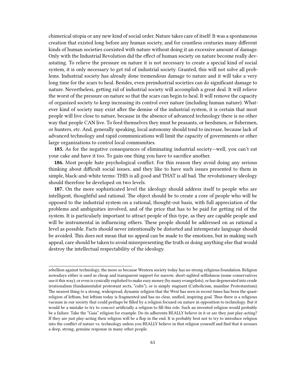chimerical utopia or any new kind of social order. Nature takes care of itself: It was a spontaneous creation that existed long before any human society, and for countless centuries many different kinds of human societies coexisted with nature without doing it an excessive amount of damage. Only with the Industrial Revolution did the effect of human society on nature become really devastating. To relieve the pressure on nature it is not necessary to create a special kind of social system, it is only necessary to get rid of industrial society. Granted, this will not solve all problems. Industrial society has already done tremendous damage to nature and it will take a very long time for the scars to heal. Besides, even preindustrial societies can do significant damage to nature. Nevertheless, getting rid of industrial society will accomplish a great deal. It will relieve the worst of the pressure on nature so that the scars can begin to heal. It will remove the capacity of organized society to keep increasing its control over nature (including human nature). Whatever kind of society may exist after the demise of the industrial system, it is certain that most people will live close to nature, because in the absence of advanced technology there is no other way that people CAN live. To feed themselves they must be peasants, or herdsmen, or fishermen, or hunters, etc. And, generally speaking, local autonomy should tend to increase, because lack of advanced technology and rapid communications will limit the capacity of governments or other large organizations to control local communities.

**185.** As for the negative consequences of eliminating industrial society—well, you can't eat your cake and have it too. To gain one thing you have to sacrifice another.

**186.** Most people hate psychological conflict. For this reason they avoid doing any serious thinking about difficult social issues, and they like to have such issues presented to them in simple, black-and-white terms: THIS is all good and THAT is all bad. The revolutionary ideology should therefore be developed on two levels.

**187.** On the more sophisticated level the ideology should address itself to people who are intelligent, thoughtful and rational. The object should be to create a core of people who will be opposed to the industrial system on a rational, thought-out basis, with full appreciation of the problems and ambiguities involved, and of the price that has to be paid for getting rid of the system. It is particularly important to attract people of this type, as they are capable people and will be instrumental in influencing others. These people should be addressed on as rational a level as possible. Facts should never intentionally be distorted and intemperate language should be avoided. This does not mean that no appeal can be made to the emotions, but in making such appeal, care should be taken to avoid misrepresenting the truth or doing anything else that would destroy the intellectual respectability of the ideology.

rebellion against technology, the more so because Western society today has no strong religious foundation. Religion nowadays either is used as cheap and transparent support for narrow, short-sighted selfishness (some conservatives use it this way), or even is cynically exploited to make easy money (by many evangelists), or has degenerated into crude irrationalism (fundamentalist protestant sects, "cults"), or is simply stagnant (Catholicism, mainline Protestantism). The nearest thing to a strong, widespread, dynamic religion that the West has seen in recent times has been the quasireligion of leftism, but leftism today is fragmented and has no clear, unified, inspiring goal. Thus there is a religious vacuum in our society that could perhaps be filled by a religion focused on nature in opposition to technology. But it would be a mistake to try to concoct artificially a religion to fill this role. Such an invented religion would probably be a failure. Take the "Gaia" religion for example. Do its adherents REALLY believe in it or are they just play-acting? If they are just play-acting their religion will be a flop in the end. It is probably best not to try to introduce religion into the conflict of nature vs. technology unless you REALLY believe in that religion yourself and find that it arouses a deep, strong, genuine response in many other people.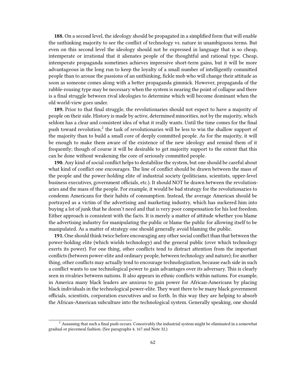**188.** On a second level, the ideology should be propagated in a simplified form that will enable the unthinking majority to see the conflict of technology vs. nature in unambiguous terms. But even on this second level the ideology should not be expressed in language that is so cheap, intemperate or irrational that it alienates people of the thoughtful and rational type. Cheap, intemperate propaganda sometimes achieves impressive short-term gains, but it will be more advantageous in the long run to keep the loyalty of a small number of intelligently committed people than to arouse the passions of an unthinking, fickle mob who will change their attitude as soon as someone comes along with a better propaganda gimmick. However, propaganda of the rabble-rousing type may be necessary when the system is nearing the point of collapse and there is a final struggle between rival ideologies to determine which will become dominant when the old world-view goes under.

**189.** Prior to that final struggle, the revolutionaries should not expect to have a majority of people on their side. History is made by active, determined minorities, not by the majority, which seldom has a clear and consistent idea of what it really wants. Until the time comes for the final push toward revolution,<sup>2</sup> the task of revolutionaries will be less to win the shallow support of the majority than to build a small core of deeply committed people. As for the majority, it will be enough to make them aware of the existence of the new ideology and remind them of it frequently; though of course it will be desirable to get majority support to the extent that this can be done without weakening the core of seriously committed people.

**190.** Any kind of social conflict helps to destabilize the system, but one should be careful about what kind of conflict one encourages. The line of conflict should be drawn between the mass of the people and the power-holding elite of industrial society (politicians, scientists, upper-level business executives, government officials, etc.). It should NOT be drawn between the revolutionaries and the mass of the people. For example, it would be bad strategy for the revolutionaries to condemn Americans for their habits of consumption. Instead, the average American should be portrayed as a victim of the advertising and marketing industry, which has suckered him into buying a lot of junk that he doesn't need and that is very poor compensation for his lost freedom. Either approach is consistent with the facts. It is merely a matter of attitude whether you blame the advertising industry for manipulating the public or blame the public for allowing itself to be manipulated. As a matter of strategy one should generally avoid blaming the public.

**191.** One should think twice before encouraging any other social conflict than that between the power-holding elite (which wields technology) and the general public (over which technology exerts its power). For one thing, other conflicts tend to distract attention from the important conflicts (between power-elite and ordinary people, between technology and nature); for another thing, other conflicts may actually tend to encourage technologization, because each side in such a conflict wants to use technological power to gain advantages over its adversary. This is clearly seen in rivalries between nations. It also appears in ethnic conflicts within nations. For example, in America many black leaders are anxious to gain power for African-Americans by placing black individuals in the technological power-elite. They want there to be many black government officials, scientists, corporation executives and so forth. In this way they are helping to absorb the African-American subculture into the technological system. Generally speaking, one should

 $2$  Assuming that such a final push occurs. Conceivably the industrial system might be eliminated in a somewhat gradual or piecemeal fashion. (See paragraphs 4, 167 and Note 32.)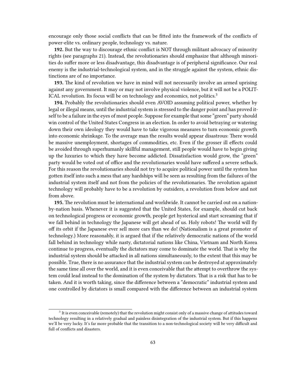encourage only those social conflicts that can be fitted into the framework of the conflicts of power-elite vs. ordinary people, technology vs. nature.

**192.** But the way to discourage ethnic conflict is NOT through militant advocacy of minority rights (see paragraphs 21). Instead, the revolutionaries should emphasize that although minorities do suffer more or less disadvantage, this disadvantage is of peripheral significance. Our real enemy is the industrial-technological system, and in the struggle against the system, ethnic distinctions are of no importance.

**193.** The kind of revolution we have in mind will not necessarily involve an armed uprising against any government. It may or may not involve physical violence, but it will not be a POLIT-ICAL revolution. Its focus will be on technology and economics, not politics.<sup>3</sup>

**194.** Probably the revolutionaries should even AVOID assuming political power, whether by legal or illegal means, until the industrial system is stressed to the danger point and has proved itself to be a failure in the eyes of most people. Suppose for example that some "green" party should win control of the United States Congress in an election. In order to avoid betraying or watering down their own ideology they would have to take vigorous measures to turn economic growth into economic shrinkage. To the average man the results would appear disastrous: There would be massive unemployment, shortages of commodities, etc. Even if the grosser ill effects could be avoided through superhumanly skillful management, still people would have to begin giving up the luxuries to which they have become addicted. Dissatisfaction would grow, the "green" party would be voted out of office and the revolutionaries would have suffered a severe setback. For this reason the revolutionaries should not try to acquire political power until the system has gotten itself into such a mess that any hardships will be seen as resulting from the failures of the industrial system itself and not from the policies of the revolutionaries. The revolution against technology will probably have to be a revolution by outsiders, a revolution from below and not from above.

**195.** The revolution must be international and worldwide. It cannot be carried out on a nationby-nation basis. Whenever it is suggested that the United States, for example, should cut back on technological progress or economic growth, people get hysterical and start screaming that if we fall behind in technology the Japanese will get ahead of us. Holy robots! The world will fly off its orbit if the Japanese ever sell more cars than we do! (Nationalism is a great promoter of technology.) More reasonably, it is argued that if the relatively democratic nations of the world fall behind in technology while nasty, dictatorial nations like China, Vietnam and North Korea continue to progress, eventually the dictators may come to dominate the world. That is why the industrial system should be attacked in all nations simultaneously, to the extent that this may be possible. True, there is no assurance that the industrial system can be destroyed at approximately the same time all over the world, and it is even conceivable that the attempt to overthrow the system could lead instead to the domination of the system by dictators. That is a risk that has to be taken. And it is worth taking, since the difference between a "democratic" industrial system and one controlled by dictators is small compared with the difference between an industrial system

 $^3$  It is even conceivable (remotely) that the revolution might consist only of a massive change of attitudes toward technology resulting in a relatively gradual and painless disintegration of the industrial system. But if this happens we'll be very lucky. It's far more probable that the transition to a non-technological society will be very difficult and full of conflicts and disasters.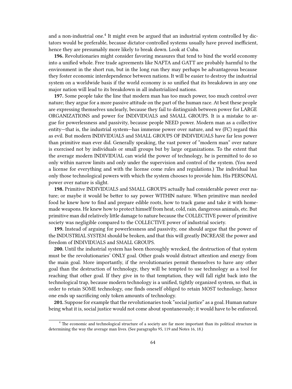and a non-industrial one.<sup>4</sup> It might even be argued that an industrial system controlled by dictators would be preferable, because dictator-controlled systems usually have proved inefficient, hence they are presumably more likely to break down. Look at Cuba.

**196.** Revolutionaries might consider favoring measures that tend to bind the world economy into a unified whole. Free trade agreements like NAFTA and GATT are probably harmful to the environment in the short run, but in the long run they may perhaps be advantageous because they foster economic interdependence between nations. It will be easier to destroy the industrial system on a worldwide basis if the world economy is so unified that its breakdown in any one major nation will lead to its breakdown in all industrialized nations.

**197.** Some people take the line that modern man has too much power, too much control over nature; they argue for a more passive attitude on the part of the human race. At best these people are expressing themselves unclearly, because they fail to distinguish between power for LARGE ORGANIZATIONS and power for INDIVIDUALS and SMALL GROUPS. It is a mistake to argue for powerlessness and passivity, because people NEED power. Modern man as a collective entity—that is, the industrial system—has immense power over nature, and we (FC) regard this as evil. But modern INDIVIDUALS and SMALL GROUPS OF INDIVIDUALS have far less power than primitive man ever did. Generally speaking, the vast power of "modern man" over nature is exercised not by individuals or small groups but by large organizations. To the extent that the average modern INDIVIDUAL can wield the power of technology, he is permitted to do so only within narrow limits and only under the supervision and control of the system. (You need a license for everything and with the license come rules and regulations.) The individual has only those technological powers with which the system chooses to provide him. His PERSONAL power over nature is slight.

**198.** Primitive INDIVIDUALS and SMALL GROUPS actually had considerable power over nature; or maybe it would be better to say power WITHIN nature. When primitive man needed food he knew how to find and prepare edible roots, how to track game and take it with homemade weapons. He knew how to protect himself from heat, cold, rain, dangerous animals, etc. But primitive man did relatively little damage to nature because the COLLECTIVE power of primitive society was negligible compared to the COLLECTIVE power of industrial society.

**199.** Instead of arguing for powerlessness and passivity, one should argue that the power of the INDUSTRIAL SYSTEM should be broken, and that this will greatly INCREASE the power and freedom of INDIVIDUALS and SMALL GROUPS.

**200.** Until the industrial system has been thoroughly wrecked, the destruction of that system must be the revolutionaries' ONLY goal. Other goals would distract attention and energy from the main goal. More importantly, if the revolutionaries permit themselves to have any other goal than the destruction of technology, they will be tempted to use technology as a tool for reaching that other goal. If they give in to that temptation, they will fall right back into the technological trap, because modern technology is a unified, tightly organized system, so that, in order to retain SOME technology, one finds oneself obliged to retain MOST technology, hence one ends up sacrificing only token amounts of technology.

**201.** Suppose for example that the revolutionaries took "social justice" as a goal. Human nature being what it is, social justice would not come about spontaneously; it would have to be enforced.

<sup>&</sup>lt;sup>4</sup> The economic and technological structure of a society are far more important than its political structure in determining the way the average man lives. (See paragraphs 95, 119 and Notes 16, 18.)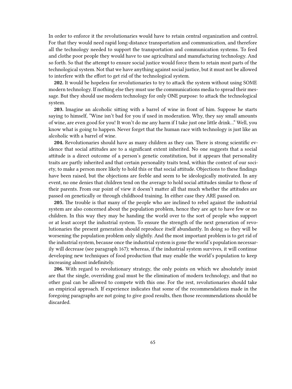In order to enforce it the revolutionaries would have to retain central organization and control. For that they would need rapid long-distance transportation and communication, and therefore all the technology needed to support the transportation and communication systems. To feed and clothe poor people they would have to use agricultural and manufacturing technology. And so forth. So that the attempt to ensure social justice would force them to retain most parts of the technological system. Not that we have anything against social justice, but it must not be allowed to interfere with the effort to get rid of the technological system.

**202.** It would be hopeless for revolutionaries to try to attack the system without using SOME modern technology. If nothing else they must use the communications media to spread their message. But they should use modern technology for only ONE purpose: to attack the technological system.

**203.** Imagine an alcoholic sitting with a barrel of wine in front of him. Suppose he starts saying to himself, "Wine isn't bad for you if used in moderation. Why, they say small amounts of wine, are even good for you! It won't do me any harm if I take just one little drink…" Well, you know what is going to happen. Never forget that the human race with technology is just like an alcoholic with a barrel of wine.

**204.** Revolutionaries should have as many children as they can. There is strong scientific evidence that social attitudes are to a significant extent inherited. No one suggests that a social attitude is a direct outcome of a person's genetic constitution, but it appears that personality traits are partly inherited and that certain personality traits tend, within the context of our society, to make a person more likely to hold this or that social attitude. Objections to these findings have been raised, but the objections are feeble and seem to be ideologically motivated. In any event, no one denies that children tend on the average to hold social attitudes similar to those of their parents. From our point of view it doesn't matter all that much whether the attitudes are passed on genetically or through childhood training. In either case they ARE passed on.

**205.** The trouble is that many of the people who are inclined to rebel against the industrial system are also concerned about the population problem, hence they are apt to have few or no children. In this way they may be handing the world over to the sort of people who support or at least accept the industrial system. To ensure the strength of the next generation of revolutionaries the present generation should reproduce itself abundantly. In doing so they will be worsening the population problem only slightly. And the most important problem is to get rid of the industrial system, because once the industrial system is gone the world's population necessarily will decrease (see paragraph 167); whereas, if the industrial system survives, it will continue developing new techniques of food production that may enable the world's population to keep increasing almost indefinitely.

**206.** With regard to revolutionary strategy, the only points on which we absolutely insist are that the single, overriding goal must be the elimination of modern technology, and that no other goal can be allowed to compete with this one. For the rest, revolutionaries should take an empirical approach. If experience indicates that some of the recommendations made in the foregoing paragraphs are not going to give good results, then those recommendations should be discarded.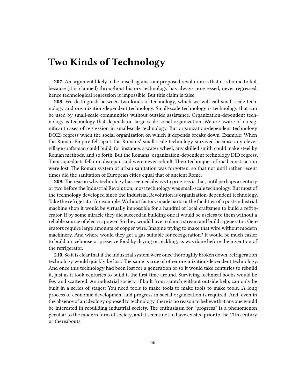### **Two Kinds of Technology**

**207.** An argument likely to be raised against our proposed revolution is that it is bound to fail, because (it is claimed) throughout history technology has always progressed, never regressed, hence technological regression is impossible. But this claim is false.

**208.** We distinguish between two kinds of technology, which we will call small-scale technology and organization-dependent technology. Small-scale technology is technology that can be used by small-scale communities without outside assistance. Organization-dependent technology is technology that depends on large-scale social organization. We are aware of no significant cases of regression in small-scale technology. But organization-dependent technology DOES regress when the social organization on which it depends breaks down. Example: When the Roman Empire fell apart the Romans' small-scale technology survived because any clever village craftsman could build, for instance, a water wheel, any skilled smith could make steel by Roman methods, and so forth. But the Romans' organization-dependent technology DID regress. Their aqueducts fell into disrepair and were never rebuilt. Their techniques of road construction were lost. The Roman system of urban sanitation was forgotten, so that not until rather recent times did the sanitation of European cities equal that of ancient Rome.

**209.** The reason why technology has seemed always to progress is that, until perhaps a century or two before the Industrial Revolution, most technology was small-scale technology. But most of the technology developed since the Industrial Revolution is organization-dependent technology. Take the refrigerator for example. Without factory-made parts or the facilities of a post-industrial machine shop it would be virtually impossible for a handful of local craftsmen to build a refrigerator. If by some miracle they did succeed in building one it would be useless to them without a reliable source of electric power. So they would have to dam a stream and build a generator. Generators require large amounts of copper wire. Imagine trying to make that wire without modern machinery. And where would they get a gas suitable for refrigeration? It would be much easier to build an icehouse or preserve food by drying or pickling, as was done before the invention of the refrigerator.

**210.** So it is clear that if the industrial system were once thoroughly broken down, refrigeration technology would quickly be lost. The same is true of other organization-dependent technology. And once this technology had been lost for a generation or so it would take centuries to rebuild it, just as it took centuries to build it the first time around. Surviving technical books would be few and scattered. An industrial society, if built from scratch without outside help, can only be built in a series of stages: You need tools to make tools to make tools to make tools…A long process of economic development and progress in social organization is required. And, even in the absence of an ideology opposed to technology, there is no reason to believe that anyone would be interested in rebuilding industrial society. The enthusiasm for "progress" is a phenomenon peculiar to the modern form of society, and it seems not to have existed prior to the 17th century or thereabouts.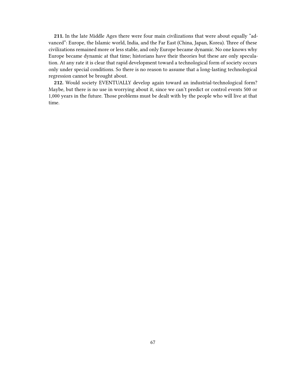**211.** In the late Middle Ages there were four main civilizations that were about equally "advanced": Europe, the Islamic world, India, and the Far East (China, Japan, Korea). Three of these civilizations remained more or less stable, and only Europe became dynamic. No one knows why Europe became dynamic at that time; historians have their theories but these are only speculation. At any rate it is clear that rapid development toward a technological form of society occurs only under special conditions. So there is no reason to assume that a long-lasting technological regression cannot be brought about.

**212.** Would society EVENTUALLY develop again toward an industrial-technological form? Maybe, but there is no use in worrying about it, since we can't predict or control events 500 or 1,000 years in the future. Those problems must be dealt with by the people who will live at that time.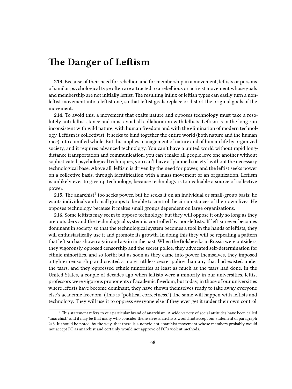### **The Danger of Leftism**

**213.** Because of their need for rebellion and for membership in a movement, leftists or persons of similar psychological type often are attracted to a rebellious or activist movement whose goals and membership are not initially leftist. The resulting influx of leftish types can easily turn a nonleftist movement into a leftist one, so that leftist goals replace or distort the original goals of the movement.

**214.** To avoid this, a movement that exalts nature and opposes technology must take a resolutely anti-leftist stance and must avoid all collaboration with leftists. Leftism is in the long run inconsistent with wild nature, with human freedom and with the elimination of modern technology. Leftism is collectivist; it seeks to bind together the entire world (both nature and the human race) into a unified whole. But this implies management of nature and of human life by organized society, and it requires advanced technology. You can't have a united world without rapid longdistance transportation and communication, you can't make all people love one another without sophisticated psychological techniques, you can't have a "planned society" without the necessary technological base. Above all, leftism is driven by the need for power, and the leftist seeks power on a collective basis, through identification with a mass movement or an organization. Leftism is unlikely ever to give up technology, because technology is too valuable a source of collective power.

215. The anarchist<sup>1</sup> too seeks power, but he seeks it on an individual or small-group basis; he wants individuals and small groups to be able to control the circumstances of their own lives. He opposes technology because it makes small groups dependent on large organizations.

**216.** Some leftists may seem to oppose technology, but they will oppose it only so long as they are outsiders and the technological system is controlled by non-leftists. If leftism ever becomes dominant in society, so that the technological system becomes a tool in the hands of leftists, they will enthusiastically use it and promote its growth. In doing this they will be repeating a pattern that leftism has shown again and again in the past. When the Bolsheviks in Russia were outsiders, they vigorously opposed censorship and the secret police, they advocated self-determination for ethnic minorities, and so forth; but as soon as they came into power themselves, they imposed a tighter censorship and created a more ruthless secret police than any that had existed under the tsars, and they oppressed ethnic minorities at least as much as the tsars had done. In the United States, a couple of decades ago when leftists were a minority in our universities, leftist professors were vigorous proponents of academic freedom, but today, in those of our universities where leftists have become dominant, they have shown themselves ready to take away everyone else's academic freedom. (This is "political correctness.") The same will happen with leftists and technology: They will use it to oppress everyone else if they ever get it under their own control.

 $1$  This statement refers to our particular brand of anarchism. A wide variety of social attitudes have been called "anarchist," and it may be that many who consider themselves anarchists would not accept our statement of paragraph 215. It should be noted, by the way, that there is a nonviolent anarchist movement whose members probably would not accept FC as anarchist and certainly would not approve of FC's violent methods.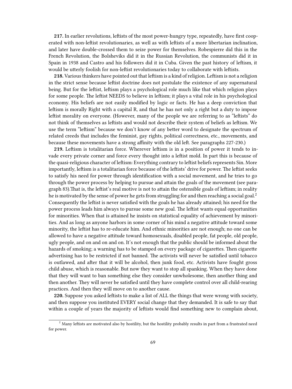**217.** In earlier revolutions, leftists of the most power-hungry type, repeatedly, have first cooperated with non-leftist revolutionaries, as well as with leftists of a more libertarian inclination, and later have double-crossed them to seize power for themselves. Robespierre did this in the French Revolution, the Bolsheviks did it in the Russian Revolution, the communists did it in Spain in 1938 and Castro and his followers did it in Cuba. Given the past history of leftism, it would be utterly foolish for non-leftist revolutionaries today to collaborate with leftists.

**218.** Various thinkers have pointed out that leftism is a kind of religion. Leftism is not a religion in the strict sense because leftist doctrine does not postulate the existence of any supernatural being. But for the leftist, leftism plays a psychological role much like that which religion plays for some people. The leftist NEEDS to believe in leftism; it plays a vital role in his psychological economy. His beliefs are not easily modified by logic or facts. He has a deep conviction that leftism is morally Right with a capital R, and that he has not only a right but a duty to impose leftist morality on everyone. (However, many of the people we are referring to as "leftists" do not think of themselves as leftists and would not describe their system of beliefs as leftism. We use the term "leftism" because we don't know of any better word to designate the spectrum of related creeds that includes the feminist, gay rights, political correctness, etc., movements, and because these movements have a strong affinity with the old left. See paragraphs 227-230.)

**219.** Leftism is totalitarian force. Wherever leftism is in a position of power it tends to invade every private corner and force every thought into a leftist mold. In part this is because of the quasi-religious character of leftism: Everything contrary to leftist beliefs represents Sin. More importantly, leftism is a totalitarian force because of the leftists' drive for power. The leftist seeks to satisfy his need for power through identification with a social movement, and he tries to go through the power process by helping to pursue and attain the goals of the movement (see paragraph 83).That is, the leftist's real motive is not to attain the ostensible goals of leftism; in reality he is motivated by the sense of power he gets from struggling for and then reaching a social goal.<sup>2</sup> Consequently the leftist is never satisfied with the goals he has already attained; his need for the power process leads him always to pursue some new goal. The leftist wants equal opportunities for minorities. When that is attained he insists on statistical equality of achievement by minorities. And as long as anyone harbors in some corner of his mind a negative attitude toward some minority, the leftist has to re-educate him. And ethnic minorities are not enough; no one can be allowed to have a negative attitude toward homosexuals, disabled people, fat people, old people, ugly people, and on and on and on. It's not enough that the public should be informed about the hazards of smoking; a warning has to be stamped on every package of cigarettes. Then cigarette advertising has to be restricted if not banned. The activists will never be satisfied until tobacco is outlawed, and after that it will be alcohol, then junk food, etc. Activists have fought gross child abuse, which is reasonable. But now they want to stop all spanking. When they have done that they will want to ban something else they consider unwholesome, then another thing and then another. They will never be satisfied until they have complete control over all child-rearing practices. And then they will move on to another cause.

**220.** Suppose you asked leftists to make a list of ALL the things that were wrong with society, and then suppose you instituted EVERY social change that they demanded. It is safe to say that within a couple of years the majority of leftists would find something new to complain about,

 $^{\rm 2}$  Many leftists are motivated also by hostility, but the hostility probably results in part from a frustrated need for power.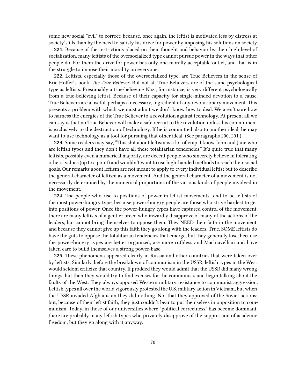some new social "evil" to correct; because, once again, the leftist is motivated less by distress at society's ills than by the need to satisfy his drive for power by imposing his solutions on society.

**221.** Because of the restrictions placed on their thought and behavior by their high level of socialization, many leftists of the oversocialized type cannot pursue power in the ways that other people do. For them the drive for power has only one morally acceptable outlet, and that is in the struggle to impose their morality on everyone.

**222.** Leftists, especially those of the oversocialized type, are True Believers in the sense of Eric Hoffer's book, *The True Believer*. But not all True Believers are of the same psychological type as leftists. Presumably a true-believing Nazi, for instance, is very different psychologically from a true-believing leftist. Because of their capacity for single-minded devotion to a cause, True Believers are a useful, perhaps a necessary, ingredient of any revolutionary movement. This presents a problem with which we must admit we don't know how to deal. We aren't sure how to harness the energies of the True Believer to a revolution against technology. At present all we can say is that no True Believer will make a safe recruit to the revolution unless his commitment is exclusively to the destruction of technology. If he is committed also to another ideal, he may want to use technology as a tool for pursuing that other ideal. (See paragraphs 200, 201.)

**223.** Some readers may say, "This shit about leftism is a lot of crap. I know John and Jane who are leftish types and they don't have all these totalitarian tendencies." It's quite true that many leftists, possibly even a numerical majority, are decent people who sincerely believe in tolerating others' values (up to a point) and wouldn't want to use high-handed methods to reach their social goals. Our remarks about leftism are not meant to apply to every individual leftist but to describe the general character of leftism as a movement. And the general character of a movement is not necessarily determined by the numerical proportions of the various kinds of people involved in the movement.

**224.** The people who rise to positions of power in leftist movements tend to be leftists of the most power-hungry type, because power-hungry people are those who strive hardest to get into positions of power. Once the power-hungry types have captured control of the movement, there are many leftists of a gentler breed who inwardly disapprove of many of the actions of the leaders, but cannot bring themselves to oppose them. They NEED their faith in the movement, and because they cannot give up this faith they go along with the leaders. True, SOME leftists do have the guts to oppose the totalitarian tendencies that emerge, but they generally lose, because the power-hungry types are better organized, are more ruthless and Machiavellian and have taken care to build themselves a strong power-base.

**225.** These phenomena appeared clearly in Russia and other countries that were taken over by leftists. Similarly, before the breakdown of communism in the USSR, leftish types in the West would seldom criticize that country. If prodded they would admit that the USSR did many wrong things, but then they would try to find excuses for the communists and begin talking about the faults of the West. They always opposed Western military resistance to communist aggression. Leftish types all over the world vigorously protested the U.S. military action in Vietnam, but when the USSR invaded Afghanistan they did nothing. Not that they approved of the Soviet actions; but, because of their leftist faith, they just couldn't bear to put themselves in opposition to communism. Today, in those of our universities where "political correctness" has become dominant, there are probably many leftish types who privately disapprove of the suppression of academic freedom, but they go along with it anyway.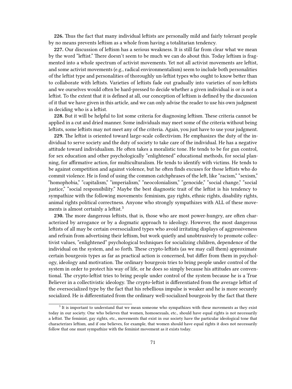**226.** Thus the fact that many individual leftists are personally mild and fairly tolerant people by no means prevents leftism as a whole from having a totalitarian tendency.

**227.** Our discussion of leftism has a serious weakness. It is still far from clear what we mean by the word "leftist." There doesn't seem to be much we can do about this. Today leftism is fragmented into a whole spectrum of activist movements. Yet not all activist movements are leftist, and some activist movements (e.g., radical environmentalism) seem to include both personalities of the leftist type and personalities of thoroughly un-leftist types who ought to know better than to collaborate with leftists. Varieties of leftists fade out gradually into varieties of non-leftists and we ourselves would often be hard-pressed to decide whether a given individual is or is not a leftist. To the extent that it is defined at all, our conception of leftism is defined by the discussion of it that we have given in this article, and we can only advise the reader to use his own judgment in deciding who is a leftist.

**228.** But it will be helpful to list some criteria for diagnosing leftism. These criteria cannot be applied in a cut and dried manner. Some individuals may meet some of the criteria without being leftists, some leftists may not meet any of the criteria. Again, you just have to use your judgment.

**229.** The leftist is oriented toward large-scale collectivism. He emphasizes the duty of the individual to serve society and the duty of society to take care of the individual. He has a negative attitude toward individualism. He often takes a moralistic tone. He tends to be for gun control, for sex education and other psychologically "enlightened" educational methods, for social planning, for affirmative action, for multiculturalism. He tends to identify with victims. He tends to be against competition and against violence, but he often finds excuses for those leftists who do commit violence. He is fond of using the common catchphrases of the left, like "racism," "sexism," "homophobia," "capitalism," "imperialism," "neocolonialism," "genocide," "social change," "social justice," "social responsibility." Maybe the best diagnostic trait of the leftist is his tendency to sympathize with the following movements: feminism, gay rights, ethnic rights, disability rights, animal rights political correctness. Anyone who strongly sympathizes with ALL of these movements is almost certainly a leftist.<sup>3</sup>

**230.** The more dangerous leftists, that is, those who are most power-hungry, are often characterized by arrogance or by a dogmatic approach to ideology. However, the most dangerous leftists of all may be certain oversocialized types who avoid irritating displays of aggressiveness and refrain from advertising their leftism, but work quietly and unobtrusively to promote collectivist values, "enlightened" psychological techniques for socializing children, dependence of the individual on the system, and so forth. These crypto-leftists (as we may call them) approximate certain bourgeois types as far as practical action is concerned, but differ from them in psychology, ideology and motivation. The ordinary bourgeois tries to bring people under control of the system in order to protect his way of life, or he does so simply because his attitudes are conventional. The crypto-leftist tries to bring people under control of the system because he is a True Believer in a collectivistic ideology. The crypto-leftist is differentiated from the average leftist of the oversocialized type by the fact that his rebellious impulse is weaker and he is more securely socialized. He is differentiated from the ordinary well-socialized bourgeois by the fact that there

<sup>&</sup>lt;sup>3</sup> It is important to understand that we mean someone who sympathizes with these movements as they exist today in our society. One who believes that women, homosexuals, etc., should have equal rights is not necessarily a leftist. The feminist, gay rights, etc., movements that exist in our society have the particular ideological tone that characterizes leftism, and if one believes, for example, that women should have equal rights it does not necessarily follow that one must sympathize with the feminist movement as it exists today.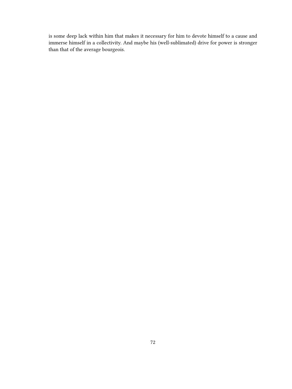is some deep lack within him that makes it necessary for him to devote himself to a cause and immerse himself in a collectivity. And maybe his (well-sublimated) drive for power is stronger than that of the average bourgeois.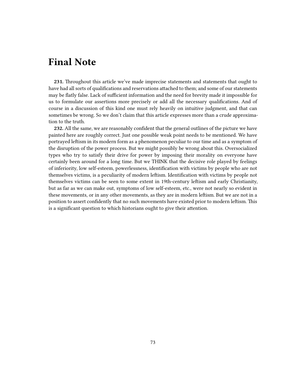## **Final Note**

**231.** Throughout this article we've made imprecise statements and statements that ought to have had all sorts of qualifications and reservations attached to them; and some of our statements may be flatly false. Lack of sufficient information and the need for brevity made it impossible for us to formulate our assertions more precisely or add all the necessary qualifications. And of course in a discussion of this kind one must rely heavily on intuitive judgment, and that can sometimes be wrong. So we don't claim that this article expresses more than a crude approximation to the truth.

**232.** All the same, we are reasonably confident that the general outlines of the picture we have painted here are roughly correct. Just one possible weak point needs to be mentioned. We have portrayed leftism in its modern form as a phenomenon peculiar to our time and as a symptom of the disruption of the power process. But we might possibly be wrong about this. Oversocialized types who try to satisfy their drive for power by imposing their morality on everyone have certainly been around for a long time. But we THINK that the decisive role played by feelings of inferiority, low self-esteem, powerlessness, identification with victims by people who are not themselves victims, is a peculiarity of modern leftism. Identification with victims by people not themselves victims can be seen to some extent in 19th-century leftism and early Christianity, but as far as we can make out, symptoms of low self-esteem, etc., were not nearly so evident in these movements, or in any other movements, as they are in modern leftism. But we are not in a position to assert confidently that no such movements have existed prior to modern leftism. This is a significant question to which historians ought to give their attention.